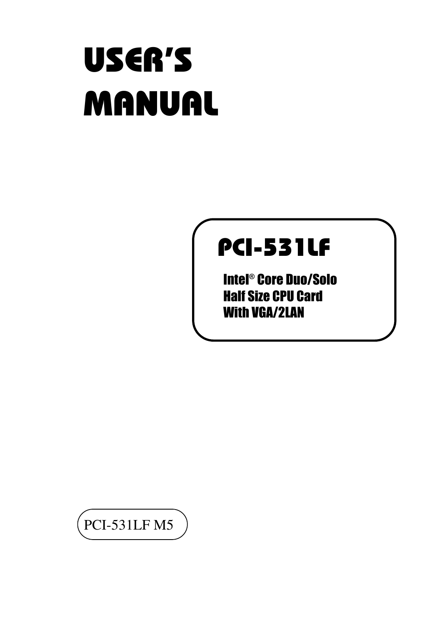# USER'S MANUAL

## PCI-531LF

Intel® Core Duo/Solo Half Size CPU Card With VGA/2LAN

PCI-531LF M5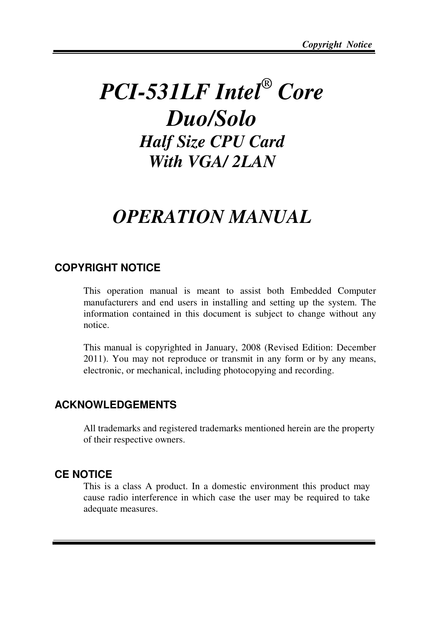## *PCI-531LF Intel® Core Duo/Solo Half Size CPU Card With VGA/ 2LAN*

## *OPERATION MANUAL*

#### **COPYRIGHT NOTICE**

This operation manual is meant to assist both Embedded Computer manufacturers and end users in installing and setting up the system. The information contained in this document is subject to change without any notice.

This manual is copyrighted in January, 2008 (Revised Edition: December 2011). You may not reproduce or transmit in any form or by any means, electronic, or mechanical, including photocopying and recording.

#### **ACKNOWLEDGEMENTS**

All trademarks and registered trademarks mentioned herein are the property of their respective owners.

#### **CE NOTICE**

Ξ

This is a class A product. In a domestic environment this product may cause radio interference in which case the user may be required to take adequate measures.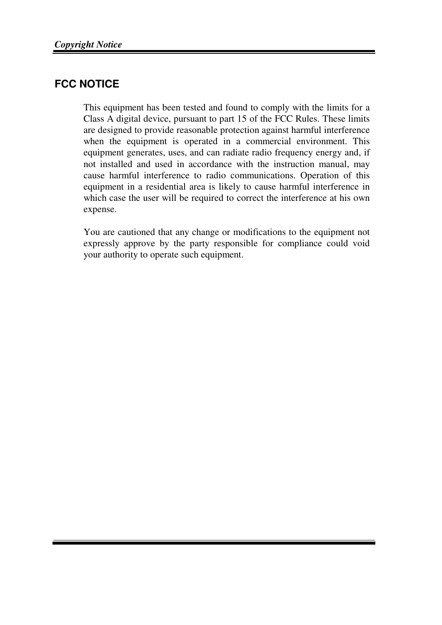#### **FCC NOTICE**

Ξ

This equipment has been tested and found to comply with the limits for a Class A digital device, pursuant to part 15 of the FCC Rules. These limits are designed to provide reasonable protection against harmful interference when the equipment is operated in a commercial environment. This equipment generates, uses, and can radiate radio frequency energy and, if not installed and used in accordance with the instruction manual, may cause harmful interference to radio communications. Operation of this equipment in a residential area is likely to cause harmful interference in which case the user will be required to correct the interference at his own expense.

You are cautioned that any change or modifications to the equipment not expressly approve by the party responsible for compliance could void your authority to operate such equipment.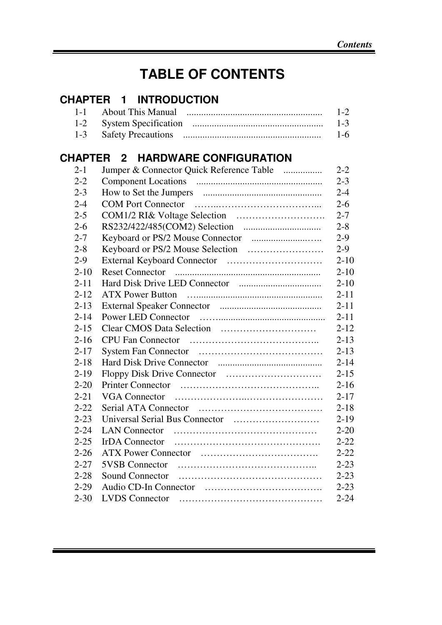## **TABLE OF CONTENTS**

#### **CHAPTER 1 INTRODUCTION**  1-1 About This Manual ........................................................ 1-2 1-2 System Specification ...................................................... 1-3 1-3 Safety Precautions ......................................................... 1-6

### **CHAPTER 2 HARDWARE CONFIGURATION**

Ξ

| $2 - 1$  | Jumper & Connector Quick Reference Table | $2 - 2$  |
|----------|------------------------------------------|----------|
| $2 - 2$  |                                          | $2 - 3$  |
| $2 - 3$  |                                          | $2 - 4$  |
| $2 - 4$  |                                          | $2 - 6$  |
| $2 - 5$  |                                          | $2 - 7$  |
| $2 - 6$  |                                          | $2 - 8$  |
| $2 - 7$  |                                          | $2-9$    |
| $2 - 8$  |                                          | $2-9$    |
| $2-9$    |                                          | $2 - 10$ |
| $2 - 10$ | <b>Reset Connector</b>                   | $2 - 10$ |
| $2 - 11$ |                                          | $2 - 10$ |
| $2 - 12$ |                                          | $2 - 11$ |
| $2 - 13$ |                                          | $2 - 11$ |
| $2 - 14$ |                                          | $2 - 11$ |
| $2 - 15$ |                                          | $2 - 12$ |
| $2 - 16$ |                                          | $2 - 13$ |
| $2 - 17$ |                                          | $2 - 13$ |
| $2 - 18$ |                                          | $2 - 14$ |
| $2 - 19$ |                                          | $2 - 15$ |
| $2 - 20$ |                                          | $2 - 16$ |
| $2 - 21$ |                                          | $2 - 17$ |
| $2 - 22$ |                                          | $2 - 18$ |
| $2 - 23$ |                                          | $2 - 19$ |
| $2 - 24$ |                                          | $2 - 20$ |
| $2 - 25$ |                                          | $2 - 22$ |
| $2 - 26$ |                                          | $2 - 22$ |
| $2 - 27$ |                                          | $2 - 23$ |
| $2 - 28$ | Sound Connector                          | $2 - 23$ |
| $2 - 29$ |                                          | $2 - 23$ |
| $2 - 30$ |                                          | $2 - 24$ |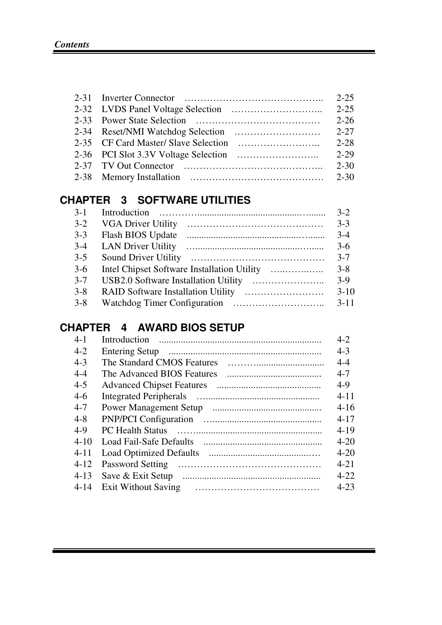Ξ

|  |                                                      | $2 - 25$  |
|--|------------------------------------------------------|-----------|
|  |                                                      | $2 - 2.5$ |
|  |                                                      | $2 - 26$  |
|  |                                                      | $2 - 27$  |
|  |                                                      | $2 - 28$  |
|  |                                                      | $2 - 29$  |
|  | 2-37 TV Out Connector $\ldots$ , $\ldots$ , $\ldots$ | $2 - 30$  |
|  |                                                      | $2 - 30$  |

### **CHAPTER 3 SOFTWARE UTILITIES**

| $3 - 1$ |                           | $3-2$    |
|---------|---------------------------|----------|
| $3-2$   | <b>VGA Driver Utility</b> | $3-3$    |
| $3-3$   | Flash BIOS Update         | $3-4$    |
| $3-4$   |                           | $3-6$    |
| $3-5$   |                           | $3 - 7$  |
| $3-6$   |                           | $3 - 8$  |
| $3 - 7$ |                           | $3-9$    |
| $3 - 8$ |                           | $3-10$   |
| $3 - 8$ |                           | $3 - 11$ |

## **CHAPTER 4 AWARD BIOS SETUP**

| $4 - 1$  | Introduction               | $4 - 2$  |
|----------|----------------------------|----------|
| $4 - 2$  |                            | $4 - 3$  |
| $4-3$    | The Standard CMOS Features | $4 - 4$  |
| $4 - 4$  | The Advanced BIOS Features | $4 - 7$  |
| $4 - 5$  |                            | $4-9$    |
| $4-6$    |                            | $4 - 11$ |
| $4 - 7$  |                            | $4 - 16$ |
| $4 - 8$  |                            | $4 - 17$ |
| $4-9$    |                            | $4 - 19$ |
| $4 - 10$ |                            | $4 - 20$ |
| 4-11     |                            | $4 - 20$ |
| $4 - 12$ | Password Setting           | $4 - 21$ |
| $4 - 13$ | Save & Exit Setup          | $4 - 22$ |
| $4 - 14$ | Exit Without Saving        | $4 - 23$ |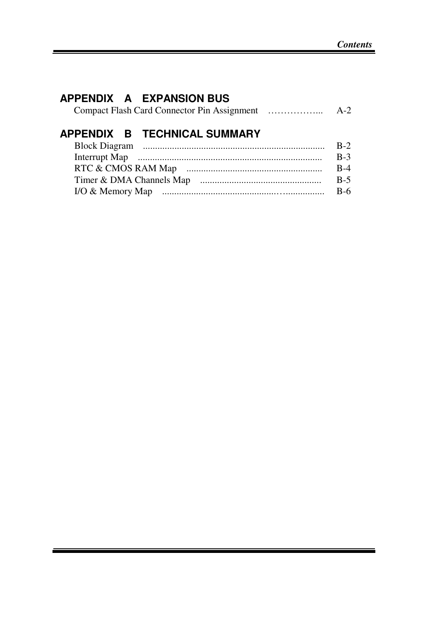### **APPENDIX A EXPANSION BUS**

Ξ

|  | $A-2$ |
|--|-------|
|--|-------|

## **APPENDIX B TECHNICAL SUMMARY**

|                  | $R-2$ |
|------------------|-------|
|                  | $R-3$ |
|                  | R-4   |
|                  | $R-5$ |
| I/O & Memory Map | B-6   |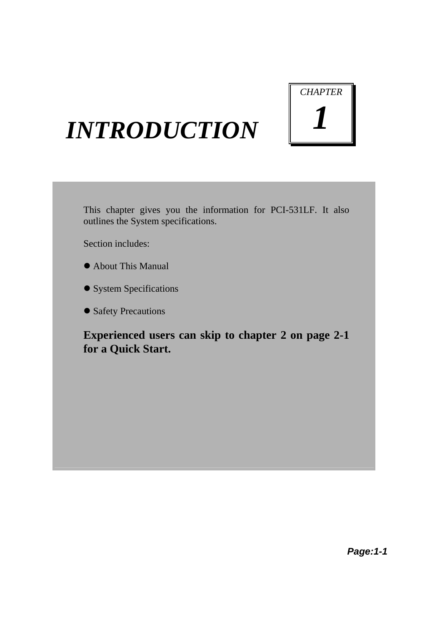# *CHAPTER 1*

## *INTRODUCTION*

This chapter gives you the information for PCI-531LF. It also outlines the System specifications.

Section includes:

- About This Manual
- System Specifications
- Safety Precautions

**Experienced users can skip to chapter 2 on page 2-1 for a Quick Start.**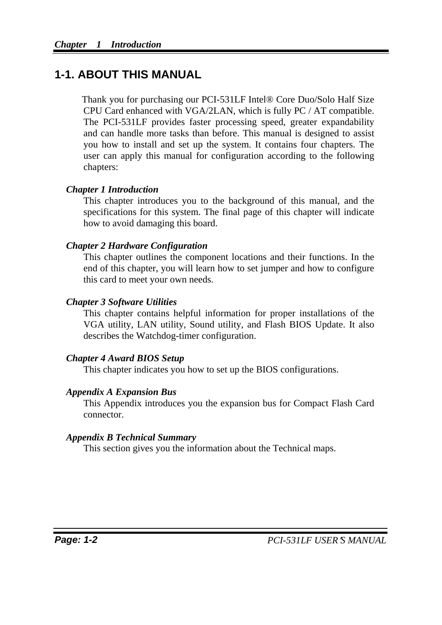## **1-1. ABOUT THIS MANUAL**

Thank you for purchasing our PCI-531LF Intel® Core Duo/Solo Half Size CPU Card enhanced with VGA/2LAN, which is fully PC / AT compatible. The PCI-531LF provides faster processing speed, greater expandability and can handle more tasks than before. This manual is designed to assist you how to install and set up the system. It contains four chapters. The user can apply this manual for configuration according to the following chapters:

#### *Chapter 1 Introduction*

This chapter introduces you to the background of this manual, and the specifications for this system. The final page of this chapter will indicate how to avoid damaging this board.

#### *Chapter 2 Hardware Configuration*

This chapter outlines the component locations and their functions. In the end of this chapter, you will learn how to set jumper and how to configure this card to meet your own needs.

#### *Chapter 3 Software Utilities*

This chapter contains helpful information for proper installations of the VGA utility, LAN utility, Sound utility, and Flash BIOS Update. It also describes the Watchdog-timer configuration.

#### *Chapter 4 Award BIOS Setup*

This chapter indicates you how to set up the BIOS configurations.

#### *Appendix A Expansion Bus*

This Appendix introduces you the expansion bus for Compact Flash Card connector.

#### *Appendix B Technical Summary*

This section gives you the information about the Technical maps.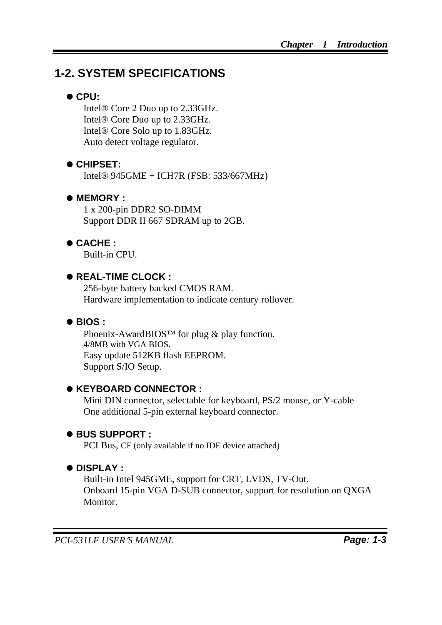## **1-2. SYSTEM SPECIFICATIONS**

#### z **CPU:**

Intel® Core 2 Duo up to 2.33GHz. Intel® Core Duo up to 2.33GHz. Intel® Core Solo up to 1.83GHz. Auto detect voltage regulator.

#### $\bullet$  **CHIPSET:**

Intel® 945GME + ICH7R (FSB: 533/667MHz)

#### $\bullet$  **MEMORY :**

1 x 200-pin DDR2 SO-DIMM Support DDR II 667 SDRAM up to 2GB.

#### z **CACHE :**

Built-in CPU.

#### ● REAL-TIME CLOCK :

256-byte battery backed CMOS RAM. Hardware implementation to indicate century rollover.

#### ● **BIOS** :

Phoenix-AwardBIOS™ for plug & play function. 4/8MB with VGA BIOS. Easy update 512KB flash EEPROM. Support S/IO Setup.

#### ● **KEYBOARD CONNECTOR :**

Mini DIN connector, selectable for keyboard, PS/2 mouse, or Y-cable One additional 5-pin external keyboard connector.

#### z **BUS SUPPORT :**

PCI Bus, CF (only available if no IDE device attached)

#### $\bullet$  DISPLAY :

Built-in Intel 945GME, support for CRT, LVDS, TV-Out. Onboard 15-pin VGA D-SUB connector, support for resolution on QXGA Monitor.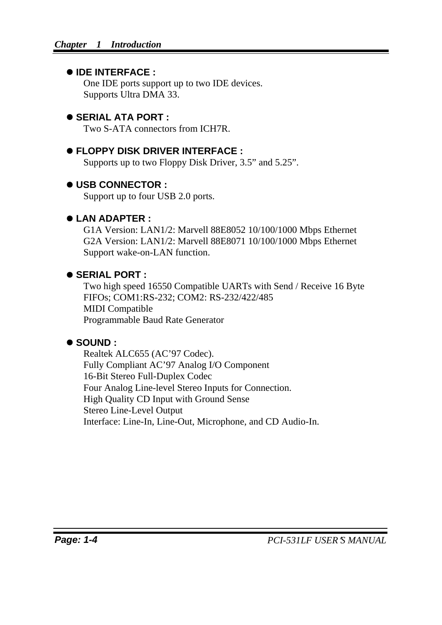#### z **IDE INTERFACE :**

One IDE ports support up to two IDE devices. Supports Ultra DMA 33.

#### $\bullet$  **SERIAL ATA PORT :**

Two S-ATA connectors from ICH7R.

#### $\bullet$  **FLOPPY DISK DRIVER INTERFACE :**

Supports up to two Floppy Disk Driver, 3.5" and 5.25".

#### z **USB CONNECTOR :**

Support up to four USB 2.0 ports.

#### z **LAN ADAPTER :**

G1A Version: LAN1/2: Marvell 88E8052 10/100/1000 Mbps Ethernet G2A Version: LAN1/2: Marvell 88E8071 10/100/1000 Mbps Ethernet Support wake-on-LAN function.

#### ● **SERIAL PORT :**

Two high speed 16550 Compatible UARTs with Send / Receive 16 Byte FIFOs; COM1:RS-232; COM2: RS-232/422/485 MIDI Compatible Programmable Baud Rate Generator

#### z **SOUND :**

Realtek ALC655 (AC'97 Codec). Fully Compliant AC'97 Analog I/O Component 16-Bit Stereo Full-Duplex Codec Four Analog Line-level Stereo Inputs for Connection. High Quality CD Input with Ground Sense Stereo Line-Level Output Interface: Line-In, Line-Out, Microphone, and CD Audio-In.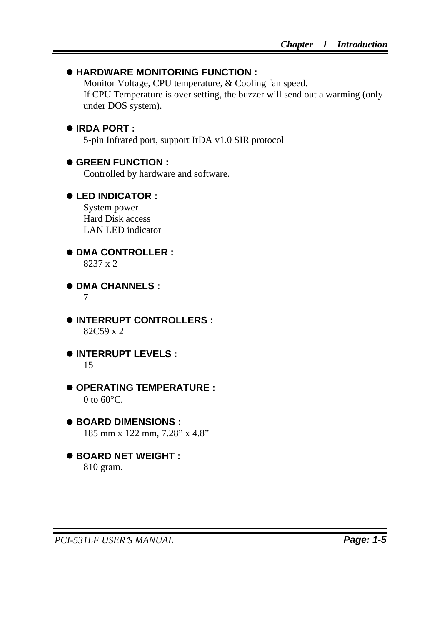#### $\bullet$  **HARDWARE MONITORING FUNCTION :**

Monitor Voltage, CPU temperature, & Cooling fan speed. If CPU Temperature is over setting, the buzzer will send out a warming (only under DOS system).

#### ● **IRDA PORT** :

5-pin Infrared port, support IrDA v1.0 SIR protocol

#### $\bullet$  **GREEN FUNCTION :**

Controlled by hardware and software.

#### z **LED INDICATOR :**

System power Hard Disk access LAN LED indicator

 $\bullet$  **DMA CONTROLLER :** 8237 x 2

 $\bullet$  **DMA CHANNELS :** 

7

- $\bullet$  **INTERRUPT CONTROLLERS :** 82C59 x 2
- $\bullet$  **INTERRUPT LEVELS :** 15
- $\bullet$  **OPERATING TEMPERATURE :** 0 to  $60^{\circ}$ C.
- BOARD DIMENSIONS : 185 mm x 122 mm, 7.28" x 4.8"
- BOARD NET WEIGHT : 810 gram.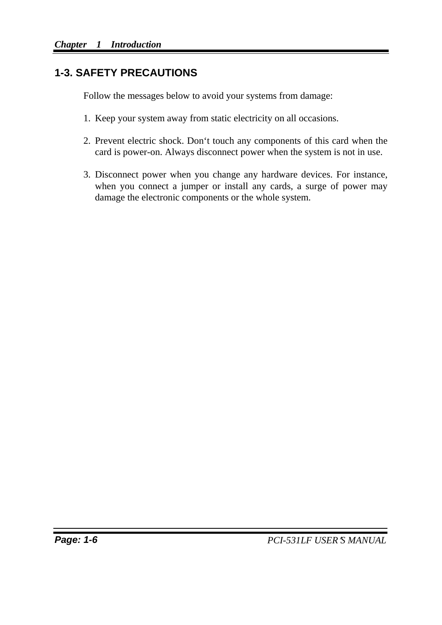#### **1-3. SAFETY PRECAUTIONS**

Follow the messages below to avoid your systems from damage:

- 1. Keep your system away from static electricity on all occasions.
- 2. Prevent electric shock. Don't touch any components of this card when the card is power-on. Always disconnect power when the system is not in use.
- 3. Disconnect power when you change any hardware devices. For instance, when you connect a jumper or install any cards, a surge of power may damage the electronic components or the whole system.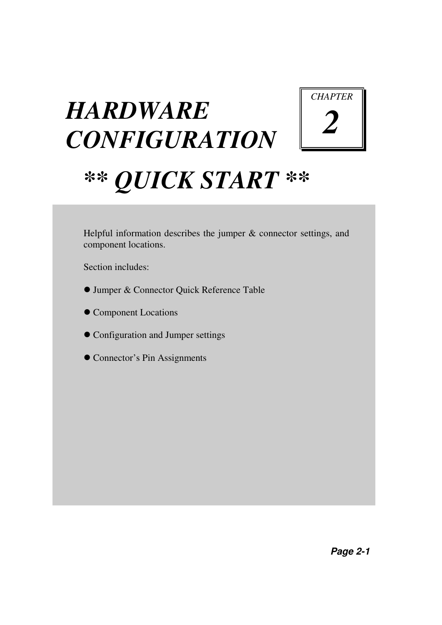## *HARDWARE CONFIGURATION*



## *\*\* QUICK START \*\**

Helpful information describes the jumper & connector settings, and component locations.

Section includes:

- Jumper & Connector Quick Reference Table
- $\bullet$  Component Locations
- Configuration and Jumper settings
- Connector's Pin Assignments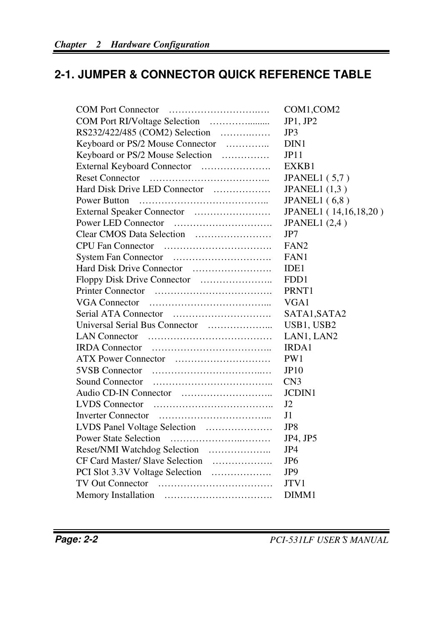## **2-1. JUMPER & CONNECTOR QUICK REFERENCE TABLE**

| COM1,COM2             |
|-----------------------|
| JP1, JP2              |
| JP3                   |
| DIN1                  |
| JP11                  |
| EXKB1                 |
| <b>JPANEL1</b> (5,7)  |
| JPANEL1 $(1,3)$       |
| JPANEL1 $(6,8)$       |
| JPANEL1 (14,16,18,20) |
| JPANEL1 $(2,4)$       |
| JP7                   |
| FAN <sub>2</sub>      |
| FAN1                  |
| IDE <sub>1</sub>      |
| FDD1                  |
| PRNT1                 |
| VGA1                  |
| SATA1, SATA2          |
| USB1, USB2            |
| LAN1, LAN2            |
| <b>IRDA1</b>          |
| PW <sub>1</sub>       |
| JP10                  |
| CN <sub>3</sub>       |
| <b>JCDIN1</b>         |
| $_{\rm J2}$           |
| J <sub>1</sub>        |
| JP8                   |
| JP4, JP5              |
| JP4                   |
| JP <sub>6</sub>       |
| JP <sub>9</sub>       |
| JTV1                  |
| DIMM1                 |
|                       |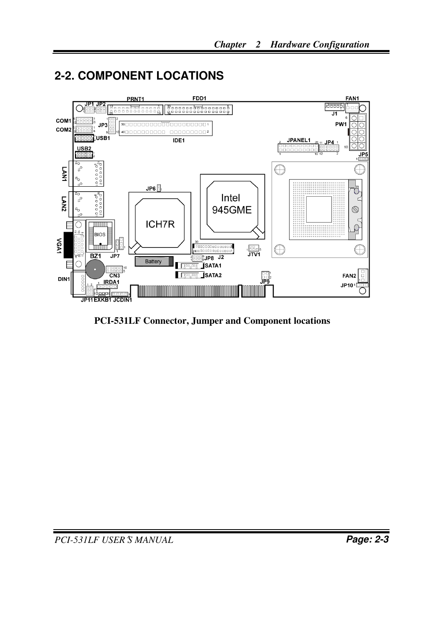## **2-2. COMPONENT LOCATIONS**



**PCI-531LF Connector, Jumper and Component locations**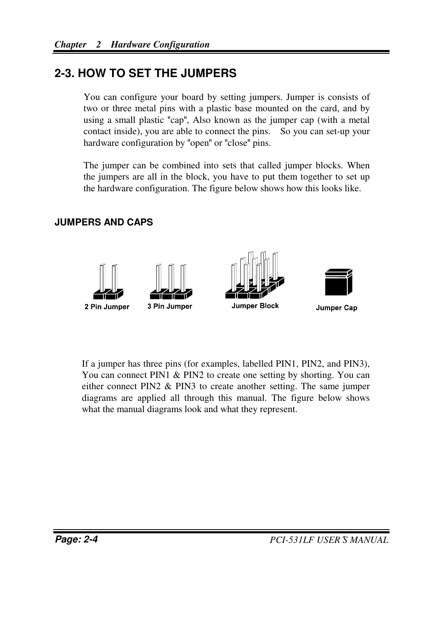#### **2-3. HOW TO SET THE JUMPERS**

You can configure your board by setting jumpers. Jumper is consists of two or three metal pins with a plastic base mounted on the card, and by using a small plastic "cap", Also known as the jumper cap (with a metal contact inside), you are able to connect the pins. So you can set-up your hardware configuration by "open" or "close" pins.

The jumper can be combined into sets that called jumper blocks. When the jumpers are all in the block, you have to put them together to set up the hardware configuration. The figure below shows how this looks like.

#### **JUMPERS AND CAPS**



If a jumper has three pins (for examples, labelled PIN1, PIN2, and PIN3), You can connect PIN1 & PIN2 to create one setting by shorting. You can either connect PIN2 & PIN3 to create another setting. The same jumper diagrams are applied all through this manual. The figure below shows what the manual diagrams look and what they represent.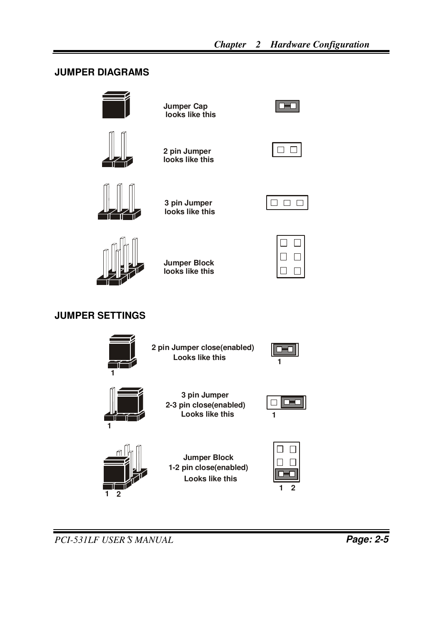#### **JUMPER DIAGRAMS**



**Jumper Cap looks like this**



**2 pin Jumper looks like this**







**3 pin Jumper looks like this**

**Jumper Block looks like this**

|--|

#### **JUMPER SETTINGS**

|   | 2 pin Jumper close(enabled)<br><b>Looks like this</b>                   |  |
|---|-------------------------------------------------------------------------|--|
| 1 | 3 pin Jumper<br>2-3 pin close(enabled)<br><b>Looks like this</b>        |  |
|   | <b>Jumper Block</b><br>1-2 pin close(enabled)<br><b>Looks like this</b> |  |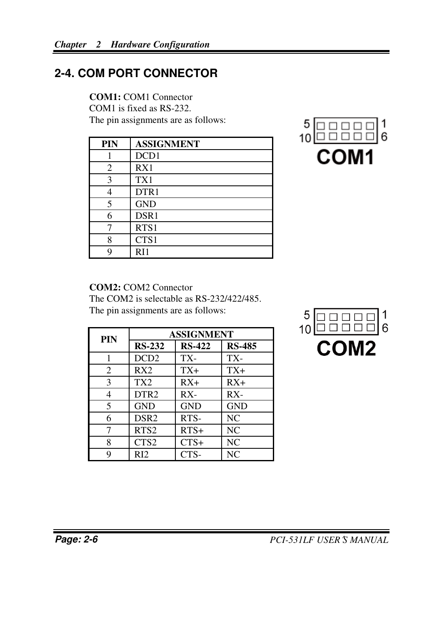### **2-4. COM PORT CONNECTOR**

#### **COM1:** COM1 Connector

COM1 is fixed as RS-232. The pin assignments are as follows:

| <b>PIN</b> | <b>ASSIGNMENT</b> |
|------------|-------------------|
|            | DCD1              |
| 2          | RX1               |
| 3          | TX1               |
|            | DTR1              |
| 5          | <b>GND</b>        |
| 6          | DSR1              |
|            | RTS1              |
| 8          | CTS1              |
|            | RI1               |



#### **COM2:** COM2 Connector

The COM2 is selectable as RS-232/422/485. The pin assignments are as follows:

| PIN | <b>ASSIGNMENT</b> |               |               |
|-----|-------------------|---------------|---------------|
|     | <b>RS-232</b>     | <b>RS-422</b> | <b>RS-485</b> |
|     | DCD <sub>2</sub>  | TX-           | TX-           |
| 2   | RX2               | $TX+$         | $TX+$         |
| 3   | TX <sub>2</sub>   | $RX+$         | $RX+$         |
| 4   | DTR <sub>2</sub>  | $RX -$        | $RX -$        |
| 5   | <b>GND</b>        | <b>GND</b>    | <b>GND</b>    |
| 6   | DSR <sub>2</sub>  | RTS-          | <b>NC</b>     |
| 7   | RTS <sub>2</sub>  | $RTS+$        | NC            |
| 8   | CTS <sub>2</sub>  | $CTS+$        | NC            |
| 9   | RI <sub>2</sub>   | CTS-          | NC            |

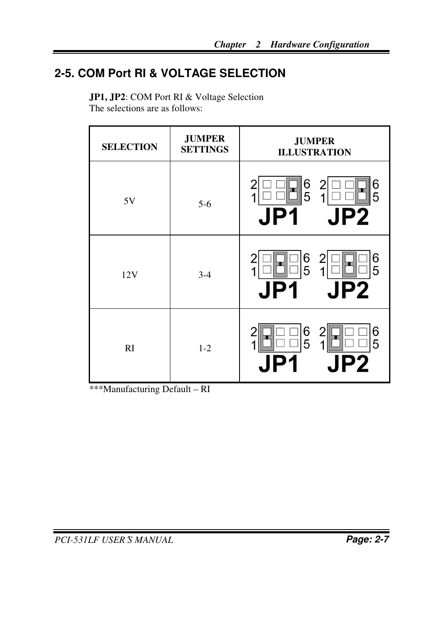## **2-5. COM Port RI & VOLTAGE SELECTION**

**JP1, JP2**: COM Port RI & Voltage Selection The selections are as follows:

| <b>SELECTION</b> | <b>JUMPER</b><br><b>SETTINGS</b> | <b>JUMPER</b><br><b>ILLUSTRATION</b>                             |
|------------------|----------------------------------|------------------------------------------------------------------|
| 5V               | $5-6$                            | 6<br>$\overline{2}$<br>6<br>5<br>5<br>1<br>◢<br><b>JP2</b><br>JI |
| 12V              | $3-4$                            | 6<br>5<br>2<br>6<br>5<br>1<br><b>JP2</b><br>JP1                  |
| RI               | $1 - 2$                          | 6<br>6<br>5<br>5<br>$\boldsymbol{2}$                             |

\*\*\*Manufacturing Default – RI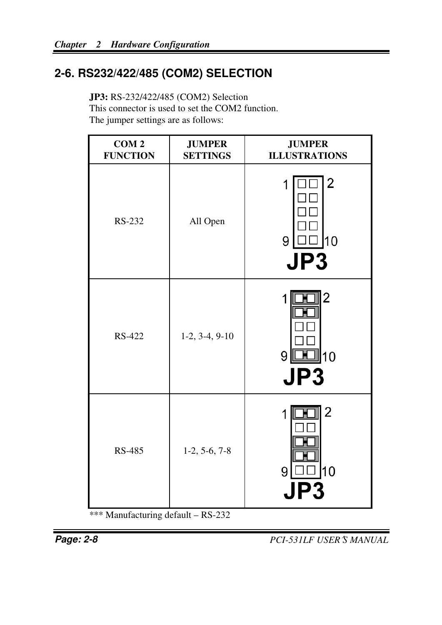## **2-6. RS232/422/485 (COM2) SELECTION**

**JP3:** RS-232/422/485 (COM2) Selection This connector is used to set the COM2 function. The jumper settings are as follows:

| COM <sub>2</sub><br><b>FUNCTION</b> | <b>JUMPER</b><br><b>SETTINGS</b> | <b>JUMPER</b><br><b>ILLUSTRATIONS</b> |
|-------------------------------------|----------------------------------|---------------------------------------|
| RS-232                              | All Open                         | 2<br>1<br>10<br>9<br>JP3              |
| <b>RS-422</b>                       | $1-2, 3-4, 9-10$                 | 2<br>10<br>9<br>JP3                   |
| <b>RS-485</b>                       | $1-2, 5-6, 7-8$                  | $\overline{2}$<br>1<br>10<br>9        |

\*\*\* Manufacturing default – RS-232

**Page: 2-8** *PCI-531LF USER*′*S MANUAL*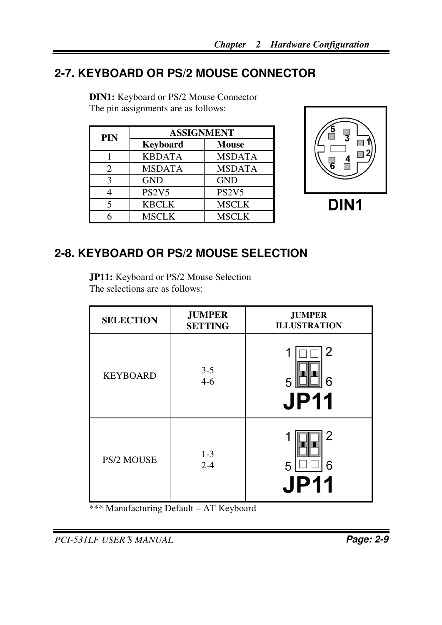## **2-7. KEYBOARD OR PS/2 MOUSE CONNECTOR**

| <b>PIN</b> | <b>ASSIGNMENT</b>              |                                |
|------------|--------------------------------|--------------------------------|
|            | <b>Keyboard</b>                | <b>Mouse</b>                   |
|            | <b>KBDATA</b>                  | <b>MSDATA</b>                  |
| 2          | <b>MSDATA</b>                  | <b>MSDATA</b>                  |
| 3          | <b>GND</b>                     | <b>GND</b>                     |
|            | PS <sub>2</sub> V <sub>5</sub> | PS <sub>2</sub> V <sub>5</sub> |
| 5          | <b>KBCLK</b>                   | <b>MSCLK</b>                   |
|            | <b>MSCLK</b>                   | <b>MSCLK</b>                   |

**DIN1:** Keyboard or PS/2 Mouse Connector The pin assignments are as follows:



DIN<sub>1</sub>

## **2-8. KEYBOARD OR PS/2 MOUSE SELECTION**

**JP11:** Keyboard or PS/2 Mouse Selection The selections are as follows:

| <b>SELECTION</b> | <b>JUMPER</b><br><b>SETTING</b> | <b>JUMPER</b><br><b>ILLUSTRATION</b> |
|------------------|---------------------------------|--------------------------------------|
| <b>KEYBOARD</b>  | $3 - 5$<br>$4-6$                | 2<br>6<br>5<br><b>JP11</b>           |
| PS/2 MOUSE       | $1 - 3$<br>$2 - 4$              | 2<br>6<br>5<br>JP11                  |

\*\*\* Manufacturing Default – AT Keyboard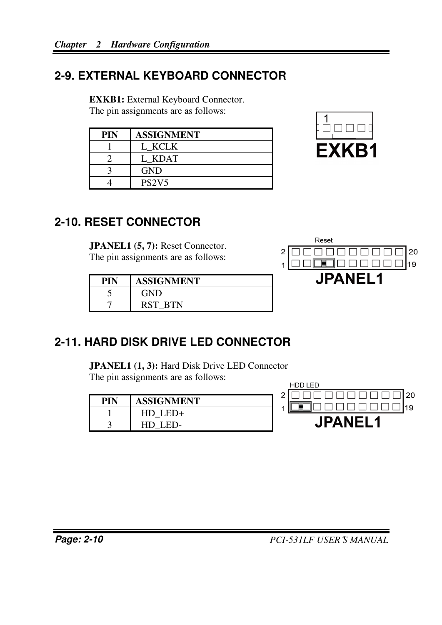## **2-9. EXTERNAL KEYBOARD CONNECTOR**

**EXKB1:** External Keyboard Connector.

The pin assignments are as follows:

| PIN | <b>ASSIGNMENT</b>              |
|-----|--------------------------------|
|     | L KCLK                         |
|     | L KDAT                         |
|     | <b>GND</b>                     |
|     | PS <sub>2</sub> V <sub>5</sub> |



## **2-10. RESET CONNECTOR**

**JPANEL1 (5, 7):** Reset Connector. The pin assignments are as follows:

| PIN | <b>ASSIGNMENT</b> |
|-----|-------------------|
|     | <b>GND</b>        |
|     | RST BTN           |



## **2-11. HARD DISK DRIVE LED CONNECTOR**

**JPANEL1 (1, 3):** Hard Disk Drive LED Connector The pin assignments are as follows:

| PIN | <b>ASSIGNMENT</b> |
|-----|-------------------|
|     | HD LED+           |
|     | LED-<br>HD.       |

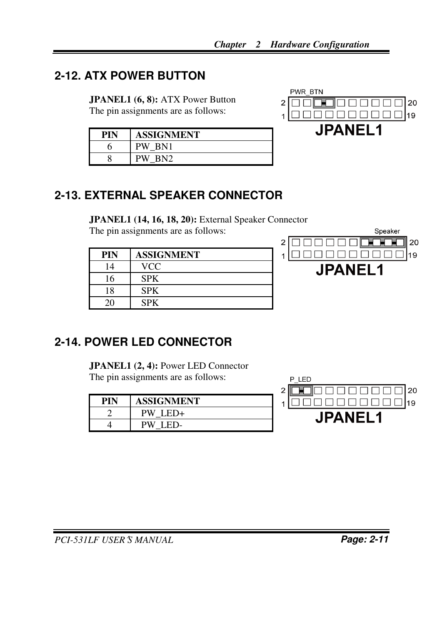## **2-12. ATX POWER BUTTON**

**JPANEL1 (6, 8):** ATX Power Button The pin assignments are as follows:

| PIN | <b>ASSIGNMENT</b>     |
|-----|-----------------------|
|     | PW<br>BN1             |
|     | BN <sub>2</sub><br>PW |



## **2-13. EXTERNAL SPEAKER CONNECTOR**

**JPANEL1 (14, 16, 18, 20):** External Speaker Connector

The pin assignments are as follows:

| PIN | <b>ASSIGNMENT</b> |
|-----|-------------------|
| 14  | <b>VCC</b>        |
| 16  | <b>SPK</b>        |
| 18  | <b>SPK</b>        |
|     | <b>SPK</b>        |



## **2-14. POWER LED CONNECTOR**

**JPANEL1 (2, 4): Power LED Connector** The pin assignments are as follows:

| PIN | <b>ASSIGNMENT</b> |
|-----|-------------------|
|     | PW L<br>ED+       |
|     | РW<br>ED-         |

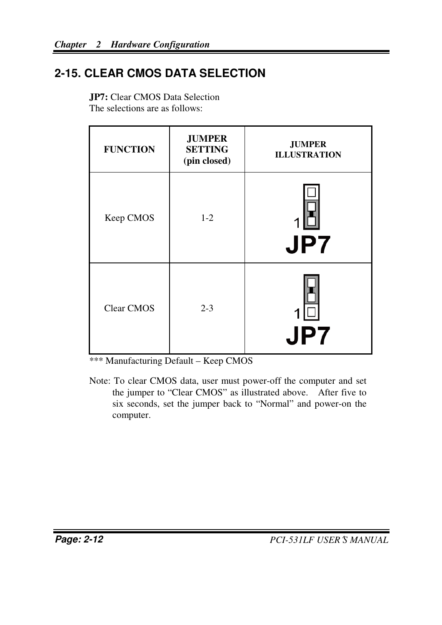## **2-15. CLEAR CMOS DATA SELECTION**

| <b>FUNCTION</b> | <b>JUMPER</b><br><b>SETTING</b><br>(pin closed) | <b>JUMPER</b><br><b>ILLUSTRATION</b> |
|-----------------|-------------------------------------------------|--------------------------------------|
| Keep CMOS       | $1 - 2$                                         | <b>JP7</b>                           |
| Clear CMOS      | $2 - 3$                                         | <b>JP7</b>                           |

**JP7:** Clear CMOS Data Selection The selections are as follows:

\*\*\* Manufacturing Default – Keep CMOS

Note: To clear CMOS data, user must power-off the computer and set the jumper to "Clear CMOS" as illustrated above. After five to six seconds, set the jumper back to "Normal" and power-on the computer.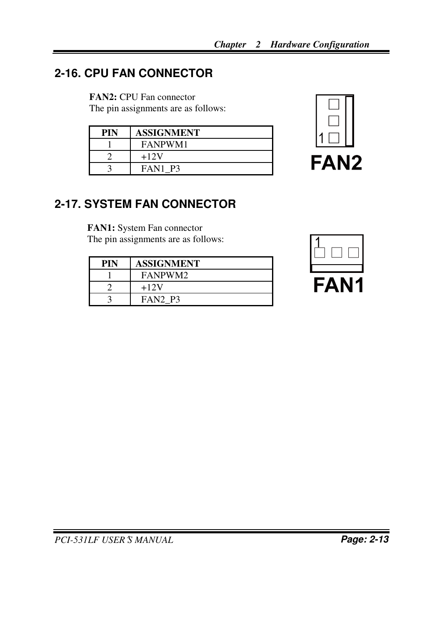## **2-16. CPU FAN CONNECTOR**

**FAN2:** CPU Fan connector

The pin assignments are as follows:

| PIN | <b>ASSIGNMENT</b> |
|-----|-------------------|
|     | FANPWM1           |
|     | $+12V$            |
|     | FAN1 P3           |



## **2-17. SYSTEM FAN CONNECTOR**

**FAN1:** System Fan connector The pin assignments are as follows:

| PIN | ASSIGNMENT     |
|-----|----------------|
|     | FANPWM2        |
|     | $+12V$         |
|     | <b>FAN2 P3</b> |



*PCI-531LF USER*′*S MANUAL* **Page: 2-13**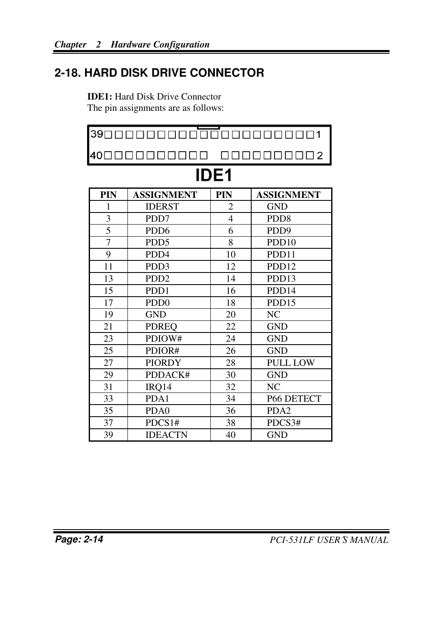## **2-18. HARD DISK DRIVE CONNECTOR**

**IDE1:** Hard Disk Drive Connector The pin assignments are as follows:

|                | 390000000000000000000001     |     |                   |  |  |  |
|----------------|------------------------------|-----|-------------------|--|--|--|
|                | 400000000000                 |     | 0000000002        |  |  |  |
| <b>IDE1</b>    |                              |     |                   |  |  |  |
| PIN            | <b>ASSIGNMENT</b>            | PIN | <b>ASSIGNMENT</b> |  |  |  |
| 1              | <b>IDERST</b>                | 2   | <b>GND</b>        |  |  |  |
| $\mathfrak{Z}$ | PDD7                         | 4   | PD <sub>D</sub> 8 |  |  |  |
| 5              | PD <sub>D6</sub>             | 6   | PDD <sub>9</sub>  |  |  |  |
| $\overline{7}$ | PD <sub>D5</sub>             | 8   | PDD <sub>10</sub> |  |  |  |
| 9              | PD <sub>D</sub> 4            | 10  | PDD11             |  |  |  |
| 11             | PD <sub>D</sub> 3            | 12  | PDD <sub>12</sub> |  |  |  |
| 13             | PD <sub>D</sub> <sub>2</sub> | 14  | PDD <sub>13</sub> |  |  |  |
| 15             | PD <sub>D</sub> 1            | 16  | PDD <sub>14</sub> |  |  |  |
| 17             | PD <sub>D</sub> <sub>0</sub> | 18  | PDD15             |  |  |  |
| 19             | <b>GND</b>                   | 20  | NC                |  |  |  |
| 21             | <b>PDREO</b>                 | 22  | <b>GND</b>        |  |  |  |
| 23             | PDIOW#                       | 24  | <b>GND</b>        |  |  |  |
| 25             | PDIOR#                       | 26  | <b>GND</b>        |  |  |  |
| 27             | <b>PIORDY</b>                | 28  | <b>PULL LOW</b>   |  |  |  |
| 29             | PDDACK#                      | 30  | <b>GND</b>        |  |  |  |
| 31             | IRQ14                        | 32  | NC                |  |  |  |
| 33             | PDA1                         | 34  | P66 DETECT        |  |  |  |
| 35             | PD <sub>A0</sub>             | 36  | PDA <sub>2</sub>  |  |  |  |
| 37             | PDCS1#                       | 38  | PDCS3#            |  |  |  |
| 39             | <b>IDEACTN</b>               | 40  | <b>GND</b>        |  |  |  |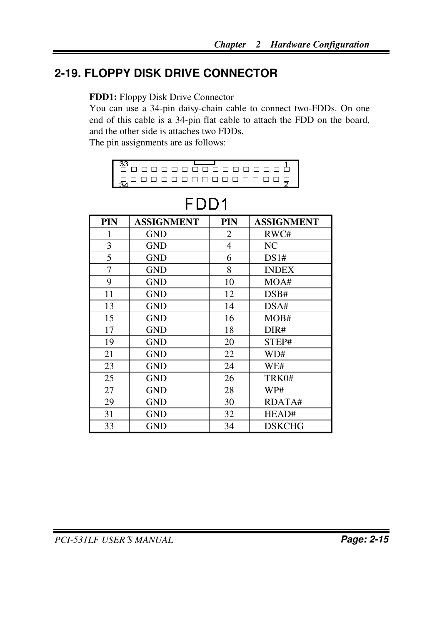## **2-19. FLOPPY DISK DRIVE CONNECTOR**

#### **FDD1:** Floppy Disk Drive Connector

You can use a 34-pin daisy-chain cable to connect two-FDDs. On one end of this cable is a 34-pin flat cable to attach the FDD on the board, and the other side is attaches two FDDs.

The pin assignments are as follows:

| . |  |  |  |  |  |  |  |  |
|---|--|--|--|--|--|--|--|--|

| PIN | <b>ASSIGNMENT</b> | PIN | <b>ASSIGNMENT</b> |
|-----|-------------------|-----|-------------------|
| 1   | <b>GND</b>        | 2   | RWC#              |
| 3   | <b>GND</b>        | 4   | NC.               |
| 5   | <b>GND</b>        | 6   | DS1#              |
| 7   | <b>GND</b>        | 8   | <b>INDEX</b>      |
| 9   | <b>GND</b>        | 10  | MOA#              |
| 11  | <b>GND</b>        | 12  | DSB#              |
| 13  | <b>GND</b>        | 14  | DSA#              |
| 15  | <b>GND</b>        | 16  | MOB#              |
| 17  | <b>GND</b>        | 18  | DIR#              |
| 19  | <b>GND</b>        | 20  | STEP#             |
| 21  | <b>GND</b>        | 22  | WD#               |
| 23  | <b>GND</b>        | 24  | WE#               |
| 25  | <b>GND</b>        | 26  | TRK0#             |
| 27  | GND               | 28  | WP#               |
| 29  | GND               | 30  | RDATA#            |
| 31  | GND               | 32  | HEAD#             |
| 33  | GND               | 34  | <b>DSKCHG</b>     |

## FDD1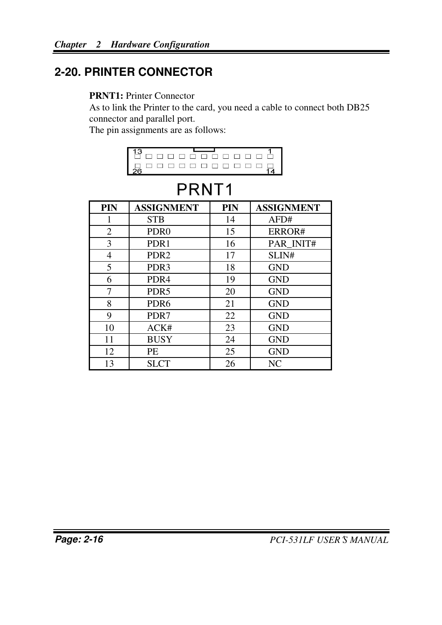## **2-20. PRINTER CONNECTOR**

#### **PRNT1:** Printer Connector

As to link the Printer to the card, you need a cable to connect both DB25 connector and parallel port.

The pin assignments are as follows:

| -------------          |  |  |  |  |  |
|------------------------|--|--|--|--|--|
| an a status a status s |  |  |  |  |  |

## PRNT<sub>1</sub>

| PIN | <b>ASSIGNMENT</b> | PIN | <b>ASSIGNMENT</b> |
|-----|-------------------|-----|-------------------|
| 1   | <b>STB</b>        | 14  | AFD#              |
| 2   | PDR <sub>0</sub>  | 15  | ERROR#            |
| 3   | PDR <sub>1</sub>  | 16  | PAR INIT#         |
| 4   | PDR <sub>2</sub>  | 17  | SLIN#             |
| 5   | PDR <sub>3</sub>  | 18  | <b>GND</b>        |
| 6   | PDR <sub>4</sub>  | 19  | <b>GND</b>        |
| 7   | PDR <sub>5</sub>  | 20  | <b>GND</b>        |
| 8   | PDR <sub>6</sub>  | 21  | <b>GND</b>        |
| 9   | PDR7              | 22  | <b>GND</b>        |
| 10  | ACK#              | 23  | <b>GND</b>        |
| 11  | <b>BUSY</b>       | 24  | <b>GND</b>        |
| 12  | PE                | 25  | <b>GND</b>        |
| 13  | <b>SLCT</b>       | 26  | NC.               |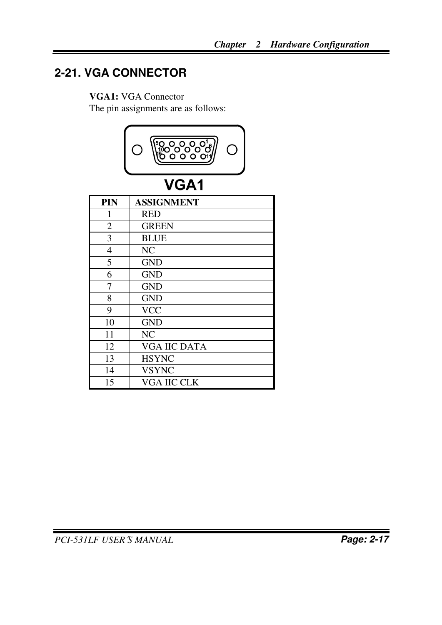## **2-21. VGA CONNECTOR**

#### **VGA1:** VGA Connector

The pin assignments are as follows:



## VGA1

| PIN | <b>ASSIGNMENT</b>   |
|-----|---------------------|
| 1   | <b>RED</b>          |
| 2   | <b>GREEN</b>        |
| 3   | <b>BLUE</b>         |
| 4   | NC.                 |
| 5   | <b>GND</b>          |
| 6   | <b>GND</b>          |
| 7   | <b>GND</b>          |
| 8   | <b>GND</b>          |
| 9   | <b>VCC</b>          |
| 10  | <b>GND</b>          |
| 11  | NC.                 |
| 12  | <b>VGA IIC DATA</b> |
| 13  | <b>HSYNC</b>        |
| 14  | <b>VSYNC</b>        |
| 15  | <b>VGA IIC CLK</b>  |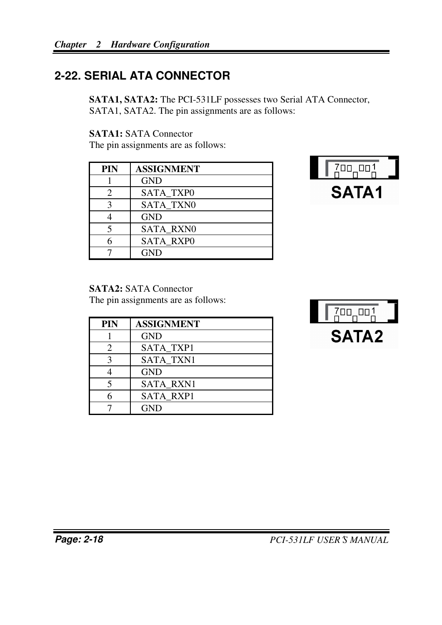## **2-22. SERIAL ATA CONNECTOR**

**SATA1, SATA2:** The PCI-531LF possesses two Serial ATA Connector, SATA1, SATA2. The pin assignments are as follows:

**SATA1:** SATA Connector

The pin assignments are as follows:

| <b>PIN</b> | <b>ASSIGNMENT</b> |
|------------|-------------------|
|            | <b>GND</b>        |
| 2          | <b>SATA TXPO</b>  |
| κ          | <b>SATA TXN0</b>  |
|            | <b>GND</b>        |
| 5          | <b>SATA RXNO</b>  |
|            | <b>SATA RXPO</b>  |
|            | <b>GND</b>        |



#### **SATA2:** SATA Connector

The pin assignments are as follows:

| <b>PIN</b> | <b>ASSIGNMENT</b> |
|------------|-------------------|
|            | <b>GND</b>        |
| 2          | <b>SATA TXP1</b>  |
| 3          | <b>SATA TXN1</b>  |
|            | <b>GND</b>        |
|            | <b>SATA RXN1</b>  |
|            | <b>SATA RXP1</b>  |
|            | <b>GND</b>        |
|            |                   |

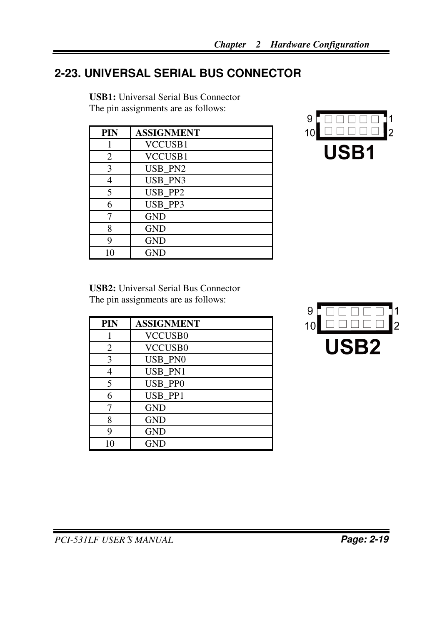## **2-23. UNIVERSAL SERIAL BUS CONNECTOR**

**USB1:** Universal Serial Bus Connector The pin assignments are as follows:

| <b>PIN</b> | <b>ASSIGNMENT</b> |
|------------|-------------------|
|            | VCCUSB1           |
| 2          | VCCUSB1           |
| 3          | USB_PN2           |
| 4          | USB_PN3           |
| 5          | USB PP2           |
| 6          | USB_PP3           |
|            | <b>GND</b>        |
| 8          | <b>GND</b>        |
| 9          | <b>GND</b>        |
| 10         | GND               |



**USB2:** Universal Serial Bus Connector The pin assignments are as follows:

| PIN | <b>ASSIGNMENT</b> |
|-----|-------------------|
|     | <b>VCCUSB0</b>    |
| 2   | <b>VCCUSB0</b>    |
| 3   | USB PN0           |
| 4   | USB PN1           |
| 5   | USB PP0           |
| 6   | USB PP1           |
|     | <b>GND</b>        |
| 8   | <b>GND</b>        |
| q   | <b>GND</b>        |
| 10  | GND               |

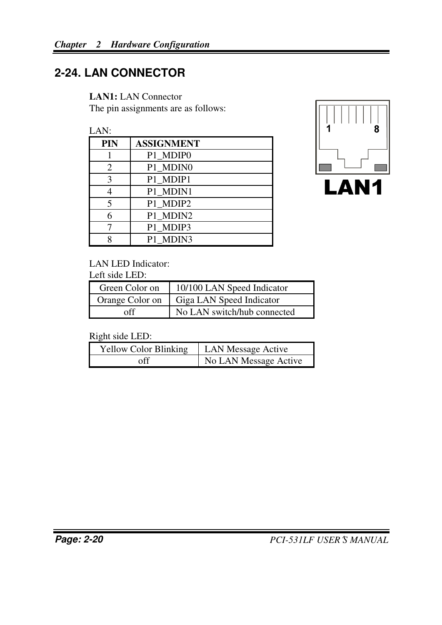## **2-24. LAN CONNECTOR**

**LAN1:** LAN Connector

The pin assignments are as follows:

 $LAN$ 

| ----       |                   |
|------------|-------------------|
| <b>PIN</b> | <b>ASSIGNMENT</b> |
|            | P1 MDIP0          |
| 2          | P1_MDIN0          |
| 3          | P1 MDIP1          |
|            | P1 MDIN1          |
| 5          | P1 MDIP2          |
| 6          | P1 MDIN2          |
|            | P1 MDIP3          |
| Q          | P1 MDIN3          |





LAN LED Indicator:

Left side LED:

| Green Color on  | 10/100 LAN Speed Indicator  |
|-----------------|-----------------------------|
| Orange Color on | Giga LAN Speed Indicator    |
| off             | No LAN switch/hub connected |

Right side LED:

| <b>Yellow Color Blinking</b> | <b>LAN Message Active</b> |  |
|------------------------------|---------------------------|--|
| ∩ff                          | No LAN Message Active     |  |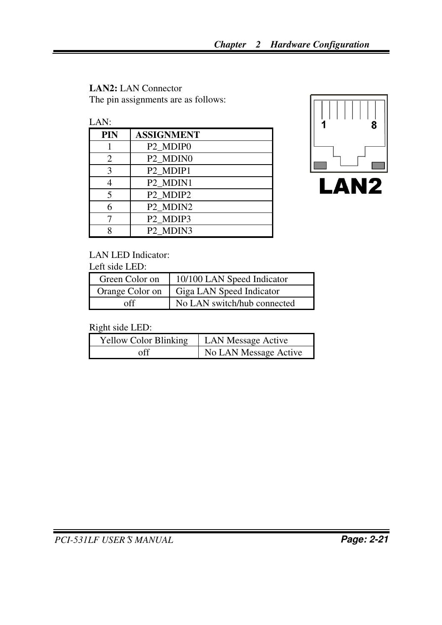## **LAN2:** LAN Connector

The pin assignments are as follows:



| <b>PIN</b> | <b>ASSIGNMENT</b>                |
|------------|----------------------------------|
|            | P <sub>2_MDIP0</sub>             |
| 2          | P <sub>2</sub> MDIN <sub>0</sub> |
| 3          | P <sub>2</sub> MDIP <sub>1</sub> |
|            | P <sub>2</sub> MDIN <sub>1</sub> |
|            | P <sub>2</sub> MDIP <sub>2</sub> |
|            | P2 MDIN2                         |
|            | P2 MDIP3                         |
| Q          | P <sub>2</sub> MDIN <sub>3</sub> |
|            |                                  |



#### LAN LED Indicator:

Left side LED:

| Green Color on  | 10/100 LAN Speed Indicator  |
|-----------------|-----------------------------|
| Orange Color on | Giga LAN Speed Indicator    |
| off             | No LAN switch/hub connected |

Right side LED:

| <b>Yellow Color Blinking</b> | <b>LAN Message Active</b> |  |
|------------------------------|---------------------------|--|
| off                          | No LAN Message Active     |  |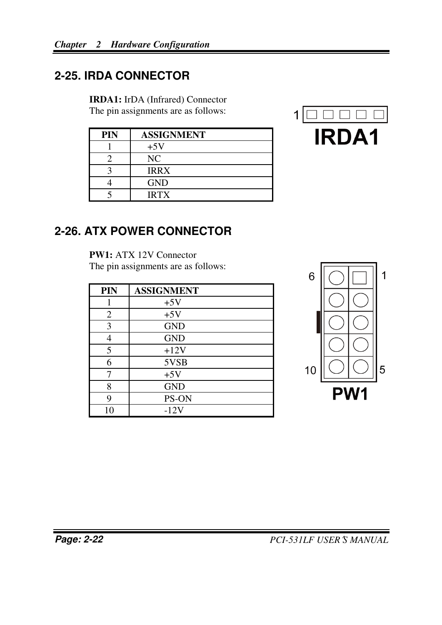## **2-25. IRDA CONNECTOR**

**IRDA1:** IrDA (Infrared) Connector

The pin assignments are as follows:

| PIN | <b>ASSIGNMENT</b> |  |
|-----|-------------------|--|
|     | $+5V$             |  |
|     | NC                |  |
|     | <b>IRRX</b>       |  |
|     | <b>GND</b>        |  |
|     | <b>IRTX</b>       |  |



### **2-26. ATX POWER CONNECTOR**

**PW1:** ATX 12V Connector The pin assignments are as follows:

| PIN | <b>ASSIGNMENT</b> |
|-----|-------------------|
|     | $+5V$             |
| 2   | $+5V$             |
| 3   | <b>GND</b>        |
| 4   | <b>GND</b>        |
| 5   | $+12V$            |
| 6   | 5VSB              |
|     | $+5V$             |
| 8   | <b>GND</b>        |
| 9   | PS-ON             |
| 10  | $-12V$            |

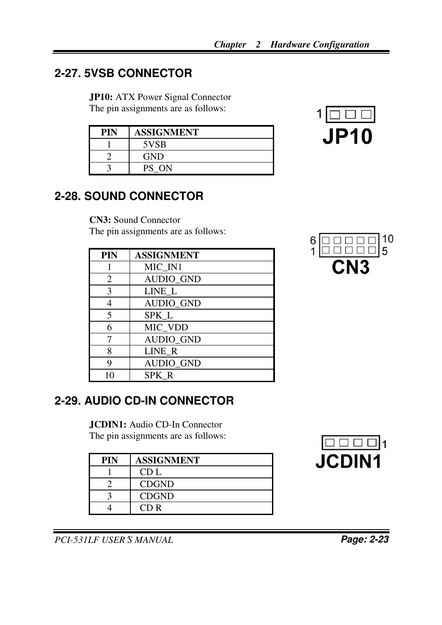## **2-27. 5VSB CONNECTOR**

**JP10:** ATX Power Signal Connector The pin assignments are as follows:

| PIN | <b>ASSIGNMENT</b> |
|-----|-------------------|
|     | 5VSB              |
|     | <b>GND</b>        |
|     | PS ON             |



## **2-28. SOUND CONNECTOR**

**CN3:** Sound Connector The pin assignments are as follows:

| PIN | <b>ASSIGNMENT</b> |
|-----|-------------------|
|     | MIC IN1           |
| 2   | <b>AUDIO GND</b>  |
| 3   | LINE L            |
|     | <b>AUDIO GND</b>  |
| 5   | SPK <sub>L</sub>  |
| 6   | MIC_VDD           |
|     | <b>AUDIO_GND</b>  |
| 8   | LINE R            |
| 9   | <b>AUDIO GND</b>  |
| 10  | SPK R             |

## 10  $\overline{5}$

## **2-29. AUDIO CD-IN CONNECTOR**

**JCDIN1:** Audio CD-In Connector The pin assignments are as follows:

| <b>PIN</b> | <b>ASSIGNMENT</b> |
|------------|-------------------|
|            | CD L              |
|            | <b>CDGND</b>      |
|            | <b>CDGND</b>      |
|            | CD R              |



*PCI-531LF USER*′*S MANUAL* **Page: 2-23**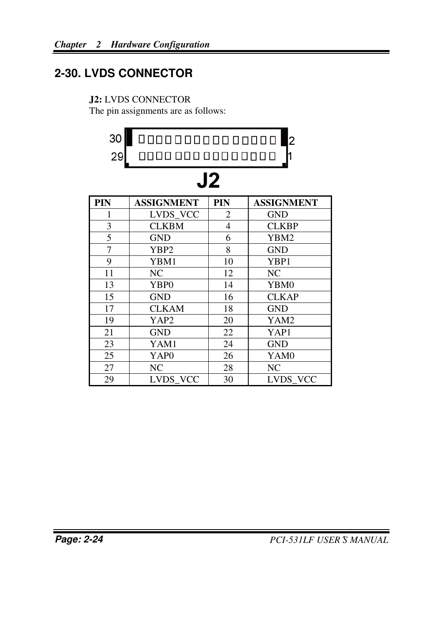## **2-30. LVDS CONNECTOR**

#### **J2:** LVDS CONNECTOR

The pin assignments are as follows:

| 30             | 00000000000000 <br>2 |                |                   |
|----------------|----------------------|----------------|-------------------|
| 29             | 0000 000 000 0000 0  |                |                   |
| J2             |                      |                |                   |
| PIN            | <b>ASSIGNMENT</b>    | <b>PIN</b>     | <b>ASSIGNMENT</b> |
| 1              | LVDS_VCC             | 2              | <b>GND</b>        |
| 3              | <b>CLKBM</b>         | $\overline{4}$ | <b>CLKBP</b>      |
| 5              | <b>GND</b>           | 6              | YBM2              |
| $\overline{7}$ | YBP2                 | 8              | <b>GND</b>        |
| 9              | YBM1                 | 10             | YBP1              |
| 11             | NC                   | 12             | N <sub>C</sub>    |
| 13             | YBP <sub>0</sub>     | 14             | YBM0              |
| 15             | <b>GND</b>           | 16             | <b>CLKAP</b>      |
| 17             | <b>CLKAM</b>         | 18             | <b>GND</b>        |
| 19             | YAP2                 | 20             | YAM2              |
| 21             | <b>GND</b>           | 22             | YAP1              |
| 23             | YAM1                 | 24             | <b>GND</b>        |
| 25             | YAP0                 | 26             | YAM0              |
| 27             | NC                   | 28             | NC                |
| 29             | LVDS VCC             | 30             | LVDS VCC          |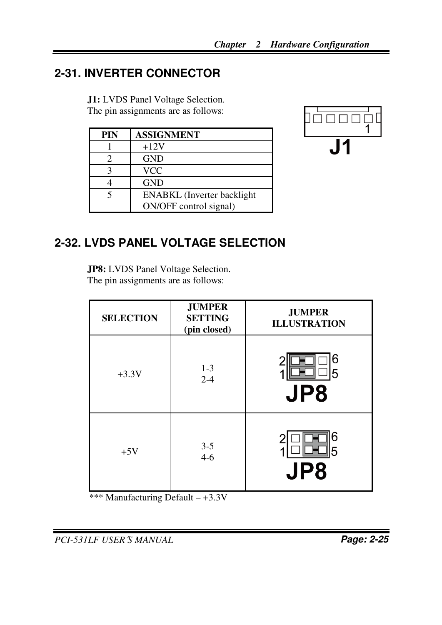## **2-31. INVERTER CONNECTOR**

 **J1:** LVDS Panel Voltage Selection. The pin assignments are as follows:

| <b>PIN</b> | <b>ASSIGNMENT</b>                  |
|------------|------------------------------------|
|            | $+12V$                             |
| 2          | <b>GND</b>                         |
| 3          | VCC                                |
|            | <b>GND</b>                         |
| 5          | <b>ENABKL</b> (Inverter backlight) |
|            | ON/OFF control signal)             |



## **2-32. LVDS PANEL VOLTAGE SELECTION**

**JP8:** LVDS Panel Voltage Selection. The pin assignments are as follows:

| <b>SELECTION</b> | <b>JUMPER</b><br><b>SETTING</b><br>(pin closed) | <b>JUMPER</b><br><b>ILLUSTRATION</b> |
|------------------|-------------------------------------------------|--------------------------------------|
| $+3.3V$          | $1 - 3$<br>$2 - 4$                              | 6<br>5<br>JP8                        |
| $+5V$            | $3 - 5$<br>$4-6$                                | 6<br>5<br>Р8                         |

\*\*\* Manufacturing Default – +3.3V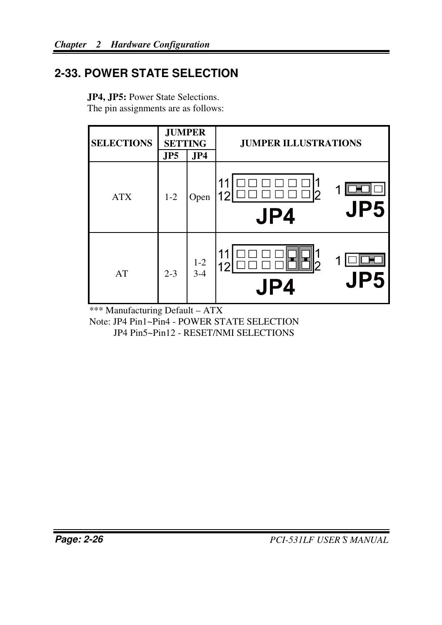## **2-33. POWER STATE SELECTION**

| <b>SELECTIONS</b> | <b>JUMPER</b><br><b>SETTING</b> |                    | <b>JUMPER ILLUSTRATIONS</b> |  |
|-------------------|---------------------------------|--------------------|-----------------------------|--|
|                   | JP5                             | JP4                |                             |  |
| <b>ATX</b>        | $1 - 2$                         | Open               | JP5<br>JP4                  |  |
| AT                | $2 - 3$                         | $1 - 2$<br>$3 - 4$ | JP5<br>Ρ4                   |  |

**JP4, JP5:** Power State Selections. The pin assignments are as follows:

\*\*\* Manufacturing Default – ATX

Note: JP4 Pin1~Pin4 - POWER STATE SELECTION JP4 Pin5~Pin12 - RESET/NMI SELECTIONS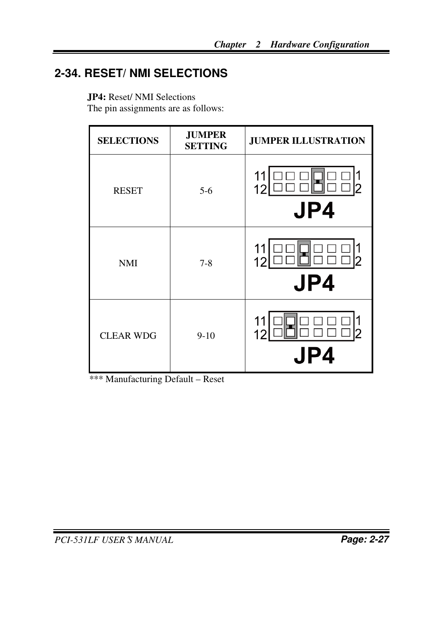## **2-34. RESET/ NMI SELECTIONS**

**JP4:** Reset/ NMI Selections

The pin assignments are as follows:

| <b>SELECTIONS</b> | <b>JUMPER</b><br><b>SETTING</b> | <b>JUMPER ILLUSTRATION</b> |  |
|-------------------|---------------------------------|----------------------------|--|
| <b>RESET</b>      | $5-6$                           | JP4                        |  |
| <b>NMI</b>        | $7 - 8$                         | JP4                        |  |
| <b>CLEAR WDG</b>  | $9-10$                          | 24                         |  |

\*\*\* Manufacturing Default – Reset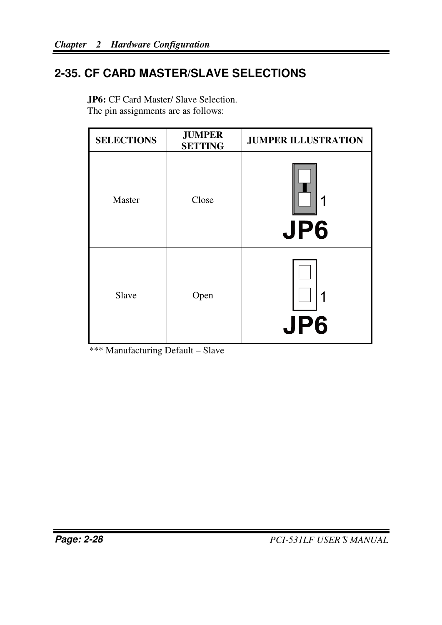## **2-35. CF CARD MASTER/SLAVE SELECTIONS**

| <b>SELECTIONS</b> | <b>JUMPER</b><br><b>SETTING</b> | <b>JUMPER ILLUSTRATION</b> |
|-------------------|---------------------------------|----------------------------|
| Master            | Close                           | JP6                        |
| Slave             | Open                            | JP6                        |

**JP6:** CF Card Master/ Slave Selection. The pin assignments are as follows:

\*\*\* Manufacturing Default – Slave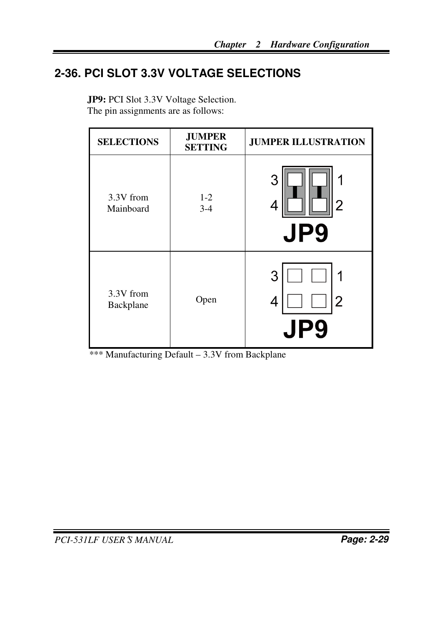## **2-36. PCI SLOT 3.3V VOLTAGE SELECTIONS**

| JP9: PCI Slot 3.3V Voltage Selection. |
|---------------------------------------|
| The pin assignments are as follows:   |

| <b>SELECTIONS</b>      | <b>JUMPER</b><br><b>JUMPER ILLUSTRATION</b><br><b>SETTING</b> |                                |
|------------------------|---------------------------------------------------------------|--------------------------------|
| 3.3V from<br>Mainboard | $1 - 2$<br>$3 - 4$                                            | 3<br>1<br>2<br>4<br><b>JP9</b> |
| 3.3V from<br>Backplane | Open                                                          | 3<br>2<br>4<br><u>id</u><br>JI |

\*\*\* Manufacturing Default – 3.3V from Backplane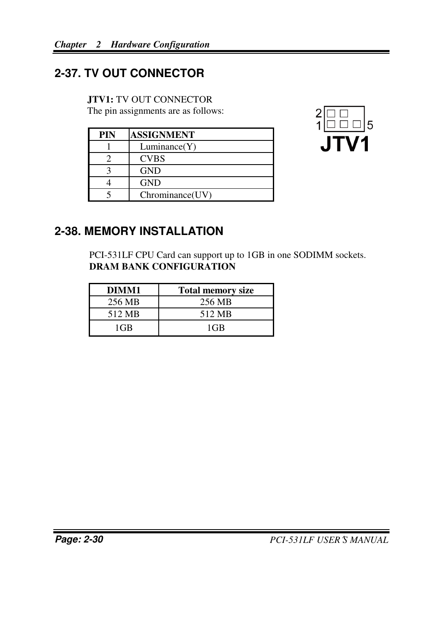## **2-37. TV OUT CONNECTOR**

#### **JTV1:** TV OUT CONNECTOR

The pin assignments are as follows:

| PIN | <b>ASSIGNMENT</b> |
|-----|-------------------|
|     | Luminance(Y)      |
|     | <b>CVBS</b>       |
|     | <b>GND</b>        |
|     | <b>GND</b>        |
|     | Chrominance(UV)   |



## **2-38. MEMORY INSTALLATION**

PCI-531LF CPU Card can support up to 1GB in one SODIMM sockets. **DRAM BANK CONFIGURATION** 

| DIMM1  | <b>Total memory size</b> |
|--------|--------------------------|
| 256 MB | 256 MB                   |
| 512 MB | 512 MB                   |
| $1$ GB | 1GB                      |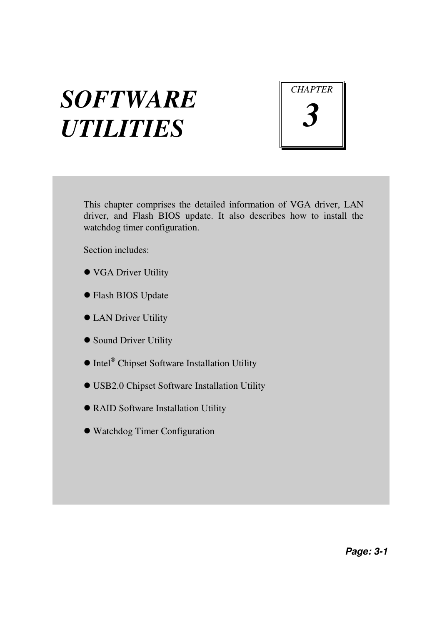# *SOFTWARE UTILITIES*



This chapter comprises the detailed information of VGA driver, LAN driver, and Flash BIOS update. It also describes how to install the watchdog timer configuration.

Section includes:

- VGA Driver Utility
- Flash BIOS Update
- **LAN Driver Utility**
- **Sound Driver Utility**
- Intel<sup>®</sup> Chipset Software Installation Utility
- USB2.0 Chipset Software Installation Utility
- RAID Software Installation Utility
- Watchdog Timer Configuration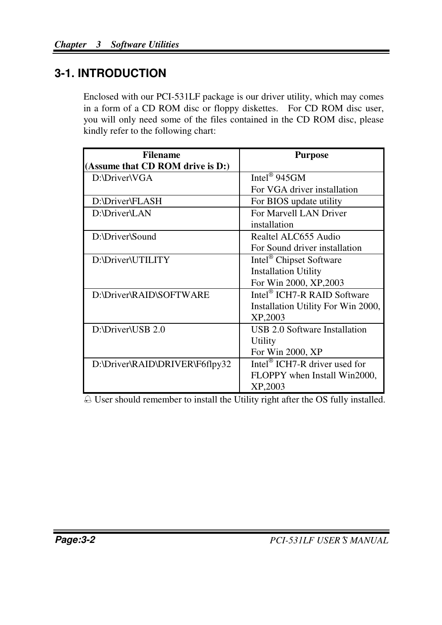## **3-1. INTRODUCTION**

Enclosed with our PCI-531LF package is our driver utility, which may comes in a form of a CD ROM disc or floppy diskettes. For CD ROM disc user, you will only need some of the files contained in the CD ROM disc, please kindly refer to the following chart:

| <b>Filename</b>                  | <b>Purpose</b>                            |
|----------------------------------|-------------------------------------------|
| (Assume that CD ROM drive is D:) |                                           |
| D:\Driver\VGA                    | Intel <sup>®</sup> 945GM                  |
|                                  | For VGA driver installation               |
| D:\Driver\FLASH                  | For BIOS update utility                   |
| D:\Driver\LAN                    | For Marvell LAN Driver                    |
|                                  | installation                              |
| D:\Driver\Sound                  | Realtel ALC655 Audio                      |
|                                  | For Sound driver installation             |
| D:\Driver\UTILITY                | Intel <sup>®</sup> Chipset Software       |
|                                  | <b>Installation Utility</b>               |
|                                  | For Win 2000, XP, 2003                    |
| D:\Driver\RAID\SOFTWARE          | Intel <sup>®</sup> ICH7-R RAID Software   |
|                                  | Installation Utility For Win 2000,        |
|                                  | XP,2003                                   |
| D:\Driver\USB 2.0                | USB 2.0 Software Installation             |
|                                  | Utility                                   |
|                                  | For Win 2000, XP                          |
| D:\Driver\RAID\DRIVER\F6flpy32   | Intel <sup>®</sup> ICH7-R driver used for |
|                                  | FLOPPY when Install Win2000,              |
|                                  | XP,2003                                   |

- User should remember to install the Utility right after the OS fully installed.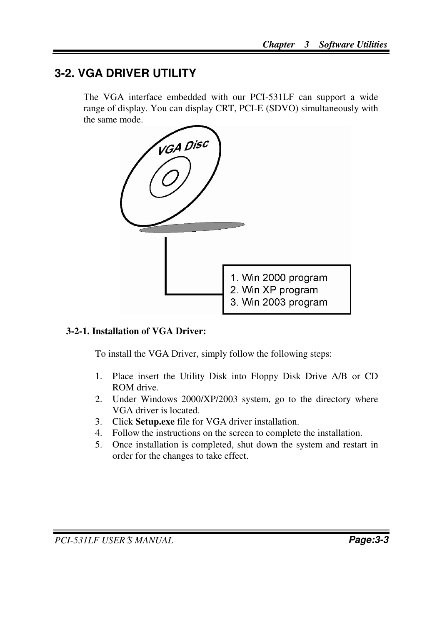## **3-2. VGA DRIVER UTILITY**

The VGA interface embedded with our PCI-531LF can support a wide range of display. You can display CRT, PCI-E (SDVO) simultaneously with the same mode.



#### **3-2-1. Installation of VGA Driver:**

To install the VGA Driver, simply follow the following steps:

- 1. Place insert the Utility Disk into Floppy Disk Drive A/B or CD ROM drive.
- 2. Under Windows 2000/XP/2003 system, go to the directory where VGA driver is located.
- 3. Click **Setup.exe** file for VGA driver installation.
- 4. Follow the instructions on the screen to complete the installation.
- 5. Once installation is completed, shut down the system and restart in order for the changes to take effect.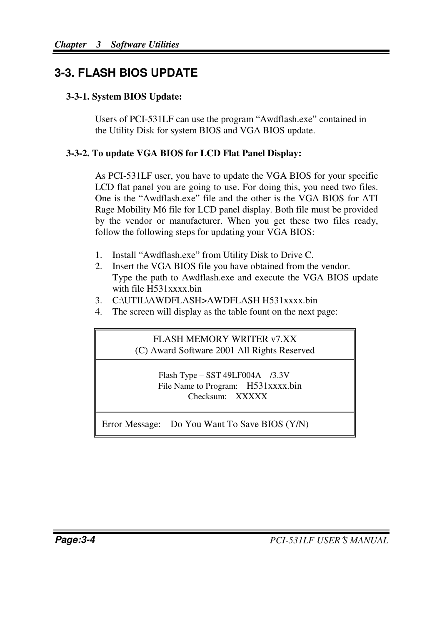## **3-3. FLASH BIOS UPDATE**

#### **3-3-1. System BIOS Update:**

Users of PCI-531LF can use the program "Awdflash.exe" contained in the Utility Disk for system BIOS and VGA BIOS update.

#### **3-3-2. To update VGA BIOS for LCD Flat Panel Display:**

As PCI-531LF user, you have to update the VGA BIOS for your specific LCD flat panel you are going to use. For doing this, you need two files. One is the "Awdflash.exe" file and the other is the VGA BIOS for ATI Rage Mobility M6 file for LCD panel display. Both file must be provided by the vendor or manufacturer. When you get these two files ready, follow the following steps for updating your VGA BIOS:

- 1. Install "Awdflash.exe" from Utility Disk to Drive C.
- 2. Insert the VGA BIOS file you have obtained from the vendor. Type the path to Awdflash.exe and execute the VGA BIOS update with file H531xxxx.bin
- 3. C:\UTIL\AWDFLASH>AWDFLASH H531xxxx.bin
- 4. The screen will display as the table fount on the next page:

FLASH MEMORY WRITER v7.XX (C) Award Software 2001 All Rights Reserved

> Flash Type – SST 49LF004A /3.3V File Name to Program: H531xxxx.bin Checksum: XXXXX

Error Message: Do You Want To Save BIOS (Y/N)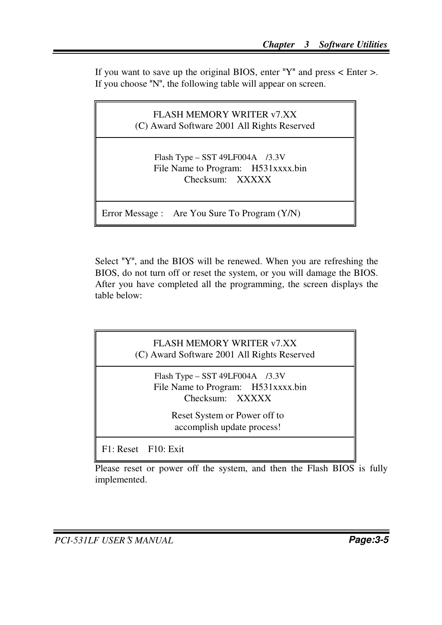If you want to save up the original BIOS, enter " $Y''$  and press < Enter >. If you choose "N", the following table will appear on screen.

FLASH MEMORY WRITER v7.XX (C) Award Software 2001 All Rights Reserved Flash Type – SST 49LF004A /3.3V File Name to Program: H531xxxx.bin Checksum: XXXXX

Error Message : Are You Sure To Program (Y/N)

Select "Y", and the BIOS will be renewed. When you are refreshing the BIOS, do not turn off or reset the system, or you will damage the BIOS. After you have completed all the programming, the screen displays the table below:

FLASH MEMORY WRITER v7.XX (C) Award Software 2001 All Rights Reserved Flash Type – SST 49LF004A /3.3V File Name to Program: H531xxxx.bin Checksum: XXXXX Reset System or Power off to accomplish update process! F1: Reset F10: Exit

Please reset or power off the system, and then the Flash BIOS is fully implemented.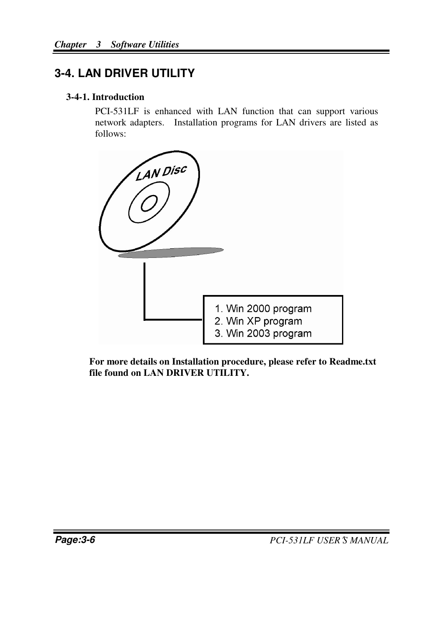## **3-4. LAN DRIVER UTILITY**

#### **3-4-1. Introduction**

PCI-531LF is enhanced with LAN function that can support various network adapters. Installation programs for LAN drivers are listed as follows:



**For more details on Installation procedure, please refer to Readme.txt file found on LAN DRIVER UTILITY.**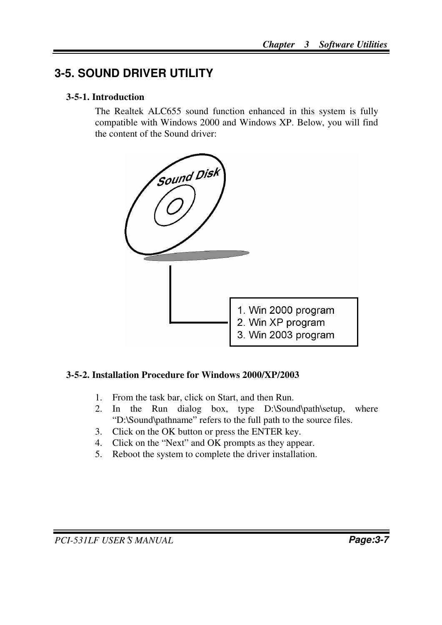## **3-5. SOUND DRIVER UTILITY**

#### **3-5-1. Introduction**

The Realtek ALC655 sound function enhanced in this system is fully compatible with Windows 2000 and Windows XP. Below, you will find the content of the Sound driver:



#### **3-5-2. Installation Procedure for Windows 2000/XP/2003**

- 1. From the task bar, click on Start, and then Run.
- 2. In the Run dialog box, type D:\Sound\path\setup, where "D:\Sound\pathname" refers to the full path to the source files.
- 3. Click on the OK button or press the ENTER key.
- 4. Click on the "Next" and OK prompts as they appear.
- 5. Reboot the system to complete the driver installation.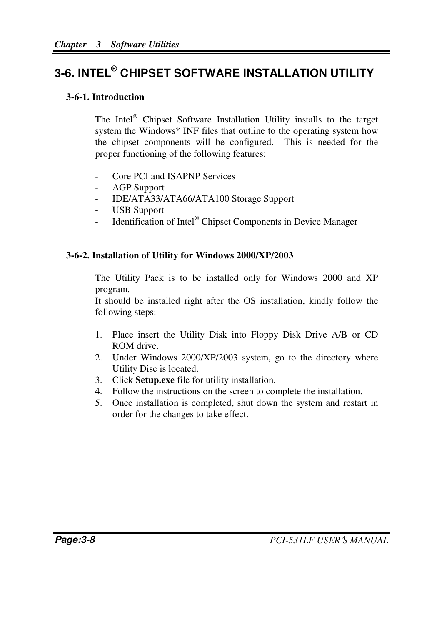## **3-6. INTEL® C HIPSET SOFTWARE INSTALLATION UTILITY**

#### **3-6-1. Introduction**

The Intel<sup>®</sup> Chipset Software Installation Utility installs to the target system the Windows\* INF files that outline to the operating system how the chipset components will be configured. This is needed for the proper functioning of the following features:

- Core PCI and ISAPNP Services
- AGP Support
- IDE/ATA33/ATA66/ATA100 Storage Support
- USB Support
- Identification of Intel® Chipset Components in Device Manager

#### **3-6-2. Installation of Utility for Windows 2000/XP/2003**

The Utility Pack is to be installed only for Windows 2000 and XP program.

It should be installed right after the OS installation, kindly follow the following steps:

- 1. Place insert the Utility Disk into Floppy Disk Drive A/B or CD ROM drive.
- 2. Under Windows 2000/XP/2003 system, go to the directory where Utility Disc is located.
- 3. Click **Setup.exe** file for utility installation.
- 4. Follow the instructions on the screen to complete the installation.
- 5. Once installation is completed, shut down the system and restart in order for the changes to take effect.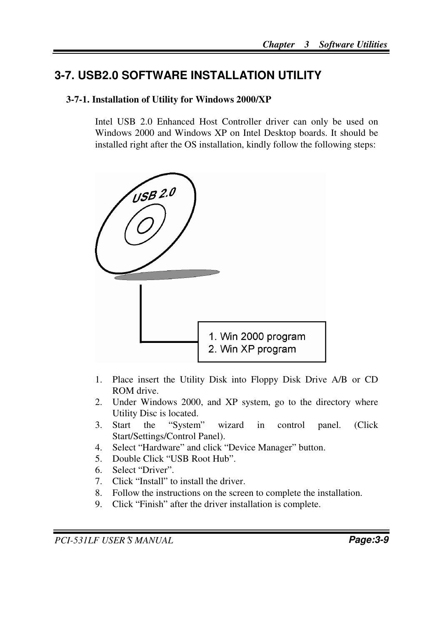## **3-7. USB2.0 SOFTWARE INSTALLATION UTILITY**

#### **3-7-1. Installation of Utility for Windows 2000/XP**

Intel USB 2.0 Enhanced Host Controller driver can only be used on Windows 2000 and Windows XP on Intel Desktop boards. It should be installed right after the OS installation, kindly follow the following steps:



- 1. Place insert the Utility Disk into Floppy Disk Drive A/B or CD ROM drive.
- 2. Under Windows 2000, and XP system, go to the directory where Utility Disc is located.
- 3. Start the "System" wizard in control panel. (Click Start/Settings/Control Panel).
- 4. Select "Hardware" and click "Device Manager" button.
- 5. Double Click "USB Root Hub".
- 6. Select "Driver".
- 7. Click "Install" to install the driver.
- 8. Follow the instructions on the screen to complete the installation.
- 9. Click "Finish" after the driver installation is complete.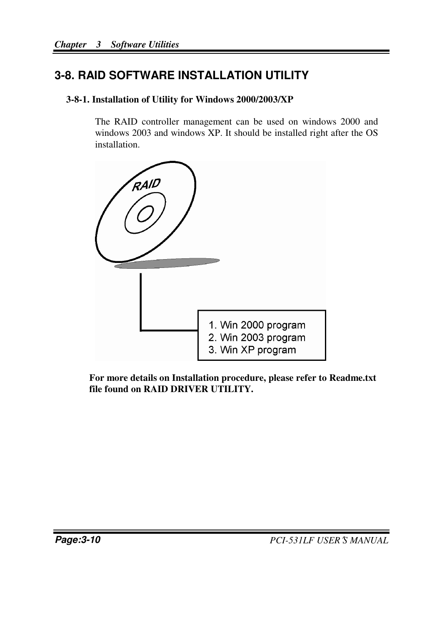## **3-8. RAID SOFTWARE INSTALLATION UTILITY**

#### **3-8-1. Installation of Utility for Windows 2000/2003/XP**

The RAID controller management can be used on windows 2000 and windows 2003 and windows XP. It should be installed right after the OS installation.



**For more details on Installation procedure, please refer to Readme.txt file found on RAID DRIVER UTILITY.**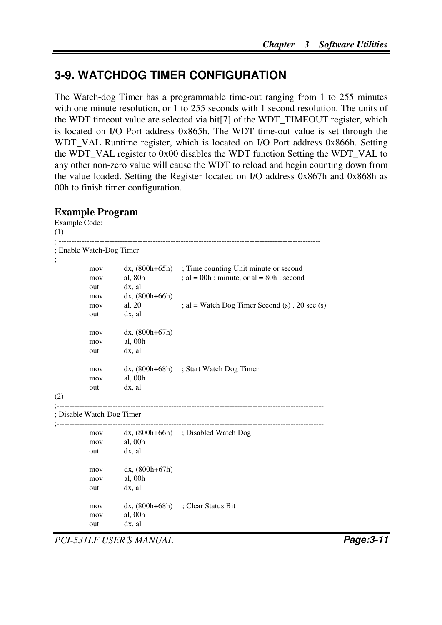## **3-9. WATCHDOG TIMER CONFIGURATION**

The Watch-dog Timer has a programmable time-out ranging from 1 to 255 minutes with one minute resolution, or 1 to 255 seconds with 1 second resolution. The units of the WDT timeout value are selected via bit[7] of the WDT\_TIMEOUT register, which is located on I/O Port address 0x865h. The WDT time-out value is set through the WDT\_VAL Runtime register, which is located on I/O Port address 0x866h. Setting the WDT\_VAL register to 0x00 disables the WDT function Setting the WDT\_VAL to any other non-zero value will cause the WDT to reload and begin counting down from the value loaded. Setting the Register located on I/O address 0x867h and 0x868h as 00h to finish timer configuration.

#### **Example Program**

```
Example Code: 
(1) 
; ------------------------------------------------------------------------------------------------------- 
; Enable Watch-Dog Timer 
;-------------------------------------------------------------------------------------------------------- 
          mov dx, (800h+65h) ; Time counting Unit minute or second
          mov al, 80h : al = 00h : minute, or al = 80h : second
          out dx, al 
          mov dx, (800h+66h) 
          mov al, 20 ; al = Watch Dog Timer Second (s), 20 sec (s)out dx, al 
          mov dx, (800h+67h) 
          mov al, 00h 
          out dx, al 
          mov dx, (800h+68h) ; Start Watch Dog Timer 
          mov al, 00h 
          out dx, al 
(2) 
;--------------------------------------------------------------------------------------------------------- 
; Disable Watch-Dog Timer 
;--------------------------------------------------------------------------------------------------------- 
          mov dx, (800h+66h) ; Disabled Watch Dog 
          mov al, 00h 
          out dx, al 
          mov dx, (800h+67h) 
          mov al, 00h 
          out dx, al 
          mov dx, (800h+68h) ; Clear Status Bit 
          mov al, 00h 
          out dx, al
```
*PCI-531LF USER*′*S MANUAL* **Page:3-11**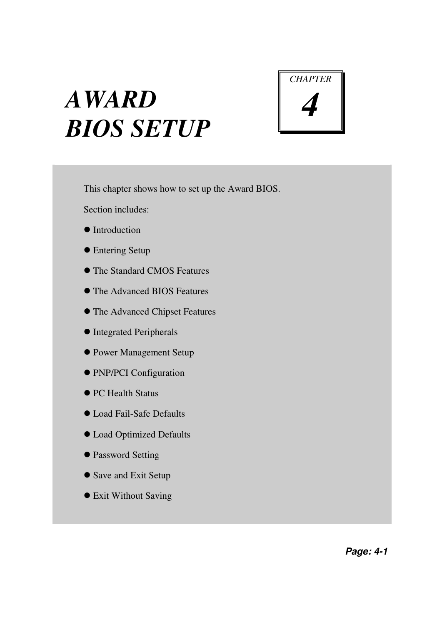# *AWARD BIOS SETUP*



This chapter shows how to set up the Award BIOS.

Section includes:

- $\bullet$  Introduction
- Entering Setup
- The Standard CMOS Features
- The Advanced BIOS Features
- The Advanced Chipset Features
- $\bullet$  Integrated Peripherals
- Power Management Setup
- PNP/PCI Configuration
- PC Health Status
- Load Fail-Safe Defaults
- Load Optimized Defaults
- $\bullet$  Password Setting
- Save and Exit Setup
- Exit Without Saving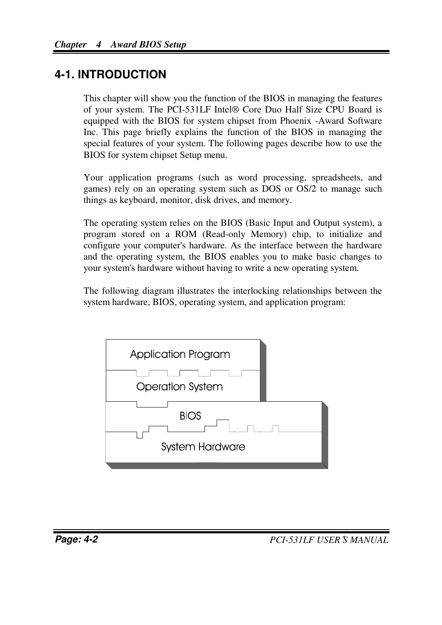## **4-1. INTRODUCTION**

This chapter will show you the function of the BIOS in managing the features of your system. The PCI-531LF Intel® Core Duo Half Size CPU Board is equipped with the BIOS for system chipset from Phoenix -Award Software Inc. This page briefly explains the function of the BIOS in managing the special features of your system. The following pages describe how to use the BIOS for system chipset Setup menu.

Your application programs (such as word processing, spreadsheets, and games) rely on an operating system such as DOS or OS/2 to manage such things as keyboard, monitor, disk drives, and memory.

The operating system relies on the BIOS (Basic Input and Output system), a program stored on a ROM (Read-only Memory) chip, to initialize and configure your computer's hardware. As the interface between the hardware and the operating system, the BIOS enables you to make basic changes to your system's hardware without having to write a new operating system.

The following diagram illustrates the interlocking relationships between the system hardware, BIOS, operating system, and application program:

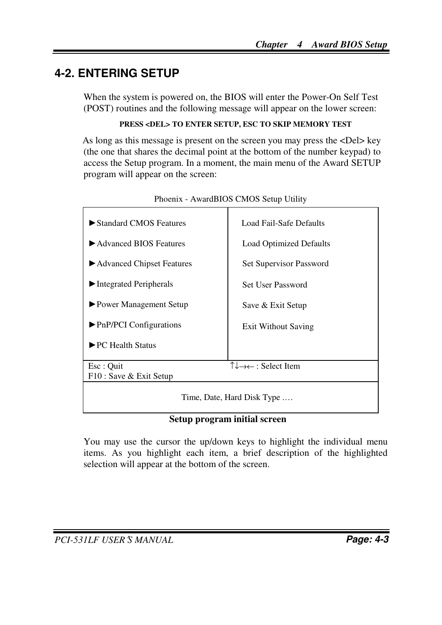## **4-2. ENTERING SETUP**

When the system is powered on, the BIOS will enter the Power-On Self Test (POST) routines and the following message will appear on the lower screen:

#### **PRESS <DEL> TO ENTER SETUP, ESC TO SKIP MEMORY TEST**

As long as this message is present on the screen you may press the <Del> key (the one that shares the decimal point at the bottom of the number keypad) to access the Setup program. In a moment, the main menu of the Award SETUP program will appear on the screen:

| Standard CMOS Features                       | Load Fail-Safe Defaults                                    |  |  |
|----------------------------------------------|------------------------------------------------------------|--|--|
| Advanced BIOS Features                       | <b>Load Optimized Defaults</b>                             |  |  |
| ► Advanced Chipset Features                  | Set Supervisor Password                                    |  |  |
| $\blacktriangleright$ Integrated Peripherals | <b>Set User Password</b>                                   |  |  |
| ▶ Power Management Setup                     | Save & Exit Setup                                          |  |  |
| $\blacktriangleright$ PnP/PCI Configurations | <b>Exit Without Saving</b>                                 |  |  |
| $\blacktriangleright$ PC Health Status       |                                                            |  |  |
|                                              |                                                            |  |  |
| Esc: Quit                                    | $\uparrow \downarrow \rightarrow \leftarrow$ : Select Item |  |  |
| F10 : Save & Exit Setup                      |                                                            |  |  |
|                                              |                                                            |  |  |
| Time, Date, Hard Disk Type                   |                                                            |  |  |

Phoenix - AwardBIOS CMOS Setup Utility

#### **Setup program initial screen**

You may use the cursor the up/down keys to highlight the individual menu items. As you highlight each item, a brief description of the highlighted selection will appear at the bottom of the screen.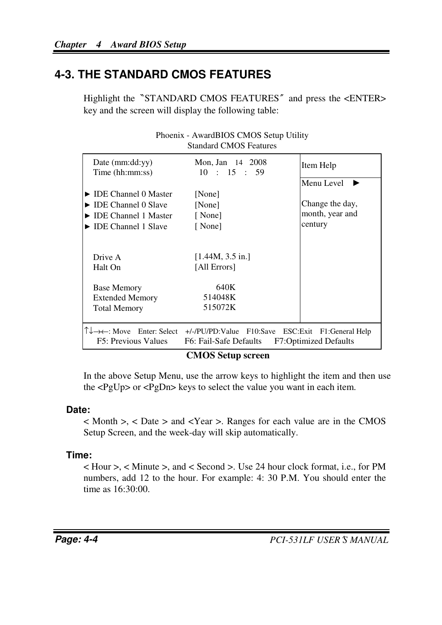## **4-3. THE STANDARD CMOS FEATURES**

Highlight the <sup>N</sup>STANDARD CMOS FEATURES<sup>*\**</sup> and press the <ENTER> key and the screen will display the following table:

| Date $(mm:dd:yy)$<br>Time (hh:mm:ss)     | Mon, Jan 14 2008<br>10 : 15 : 59                                                                     | Item Help                    |
|------------------------------------------|------------------------------------------------------------------------------------------------------|------------------------------|
|                                          |                                                                                                      | Menu Level                   |
| $\triangleright$ IDE Channel 0 Master    | [None]                                                                                               |                              |
| $\triangleright$ IDE Channel 0 Slave     | [None]                                                                                               | Change the day,              |
| $\triangleright$ IDE Channel 1 Master    | [None]                                                                                               | month, year and              |
| $\triangleright$ IDE Channel 1 Slave     | [None]                                                                                               | century                      |
| Drive A<br>Halt On<br><b>Base Memory</b> | [1.44M, 3.5 in.]<br>[All Errors]<br>640K                                                             |                              |
| <b>Extended Memory</b>                   | 514048K                                                                                              |                              |
| <b>Total Memory</b>                      | 515072K                                                                                              |                              |
|                                          |                                                                                                      |                              |
| F5: Previous Values                      | T↓→←: Move Enter: Select +/-/PU/PD:Value F10:Save ESC:Exit F1:General Help<br>F6: Fail-Safe Defaults | <b>F7:Optimized Defaults</b> |

Phoenix - AwardBIOS CMOS Setup Utility Standard CMOS Features

#### **CMOS Setup screen**

In the above Setup Menu, use the arrow keys to highlight the item and then use the <PgUp> or <PgDn> keys to select the value you want in each item.

#### **Date:**

< Month >, < Date > and <Year >. Ranges for each value are in the CMOS Setup Screen, and the week-day will skip automatically.

#### **Time:**

< Hour >, < Minute >, and < Second >. Use 24 hour clock format, i.e., for PM numbers, add 12 to the hour. For example: 4: 30 P.M. You should enter the time as 16:30:00.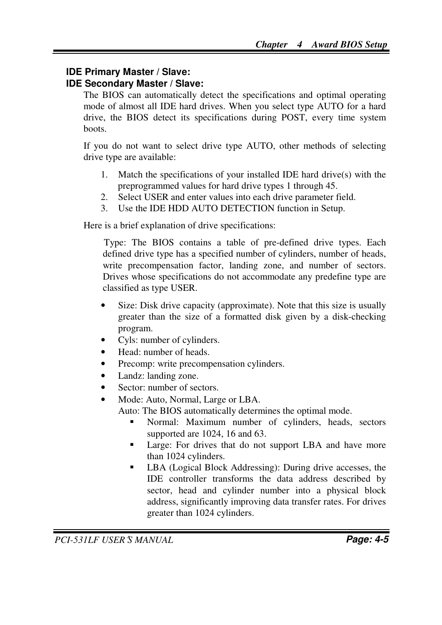#### **IDE Primary Master / Slave:**

#### **IDE Secondary Master / Slave:**

The BIOS can automatically detect the specifications and optimal operating mode of almost all IDE hard drives. When you select type AUTO for a hard drive, the BIOS detect its specifications during POST, every time system boots.

If you do not want to select drive type AUTO, other methods of selecting drive type are available:

- 1. Match the specifications of your installed IDE hard drive(s) with the preprogrammed values for hard drive types 1 through 45.
- 2. Select USER and enter values into each drive parameter field.
- 3. Use the IDE HDD AUTO DETECTION function in Setup.

Here is a brief explanation of drive specifications:

 Type: The BIOS contains a table of pre-defined drive types. Each defined drive type has a specified number of cylinders, number of heads, write precompensation factor, landing zone, and number of sectors. Drives whose specifications do not accommodate any predefine type are classified as type USER.

- Size: Disk drive capacity (approximate). Note that this size is usually greater than the size of a formatted disk given by a disk-checking program.
- Cyls: number of cylinders.
- Head: number of heads.
- Precomp: write precompensation cylinders.
- Landz: landing zone.
- Sector: number of sectors.
- Mode: Auto, Normal, Large or LBA.

Auto: The BIOS automatically determines the optimal mode.

- - Normal: Maximum number of cylinders, heads, sectors supported are 1024, 16 and 63.
- - Large: For drives that do not support LBA and have more than 1024 cylinders.
- - LBA (Logical Block Addressing): During drive accesses, the IDE controller transforms the data address described by sector, head and cylinder number into a physical block address, significantly improving data transfer rates. For drives greater than 1024 cylinders.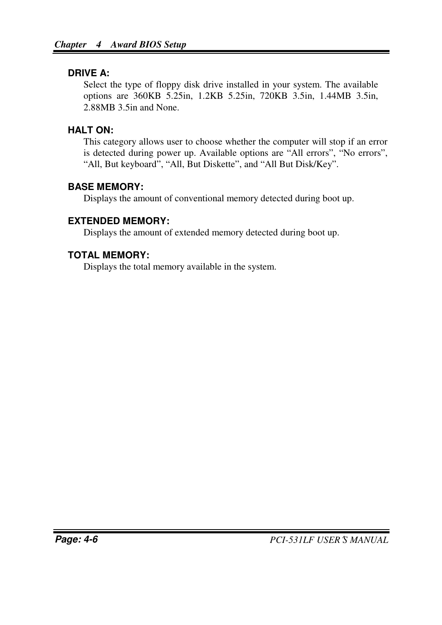#### **DRIVE A:**

Select the type of floppy disk drive installed in your system. The available options are 360KB 5.25in, 1.2KB 5.25in, 720KB 3.5in, 1.44MB 3.5in, 2.88MB 3.5in and None.

#### **HALT ON:**

This category allows user to choose whether the computer will stop if an error is detected during power up. Available options are "All errors", "No errors", "All, But keyboard", "All, But Diskette", and "All But Disk/Key".

#### **BASE MEMORY:**

Displays the amount of conventional memory detected during boot up.

#### **EXTENDED MEMORY:**

Displays the amount of extended memory detected during boot up.

### **TOTAL MEMORY:**

Displays the total memory available in the system.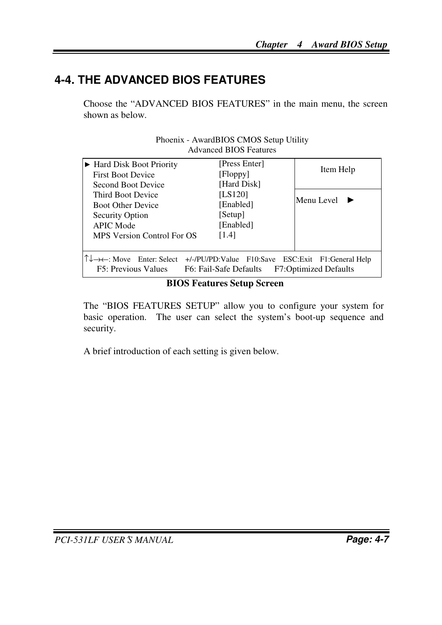## **4-4. THE ADVANCED BIOS FEATURES**

Choose the "ADVANCED BIOS FEATURES" in the main menu, the screen shown as below.

|                                                                                                                                                                                                               | AUVANCEU DR.O. FEALURES |            |
|---------------------------------------------------------------------------------------------------------------------------------------------------------------------------------------------------------------|-------------------------|------------|
| $\blacktriangleright$ Hard Disk Boot Priority                                                                                                                                                                 | [Press Enter]           | Item Help  |
| <b>First Boot Device</b>                                                                                                                                                                                      | [Floppy]                |            |
| Second Boot Device                                                                                                                                                                                            | [Hard Disk]             |            |
| Third Boot Device                                                                                                                                                                                             | [LS120]                 | Menu Level |
| <b>Boot Other Device</b>                                                                                                                                                                                      | [Enabled]               |            |
| <b>Security Option</b>                                                                                                                                                                                        | [Setup]                 |            |
| <b>APIC Mode</b>                                                                                                                                                                                              | [Enabled]               |            |
| MPS Version Control For OS                                                                                                                                                                                    | [1.4]                   |            |
|                                                                                                                                                                                                               |                         |            |
| $\uparrow \downarrow \rightarrow \leftarrow: \text{Move}$ Enter: Select<br>+/-/PU/PD:Value F10:Save ESC:Exit F1:General Help<br><b>F7:Optimized Defaults</b><br>F5: Previous Values<br>F6: Fail-Safe Defaults |                         |            |

Phoenix - AwardBIOS CMOS Setup Utility Advanced BIOS Features

#### **BIOS Features Setup Screen**

The "BIOS FEATURES SETUP" allow you to configure your system for basic operation. The user can select the system's boot-up sequence and security.

A brief introduction of each setting is given below.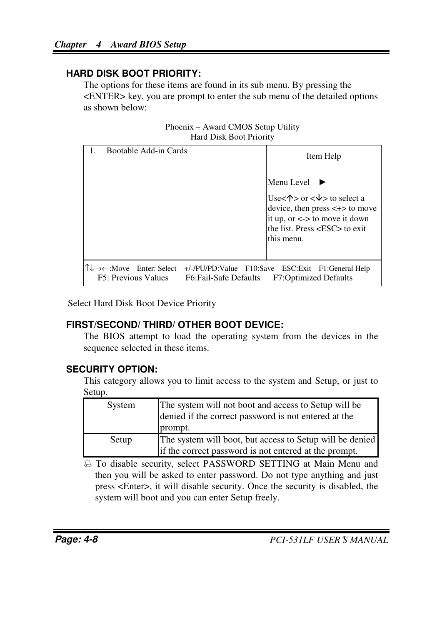#### **HARD DISK BOOT PRIORITY:**

The options for these items are found in its sub menu. By pressing the <ENTER> key, you are prompt to enter the sub menu of the detailed options as shown below:

Phoenix – Award CMOS Setup Utility Hard Disk Boot Priority

| Bootable Add-in Cards                                                             | Item Help                                                                                                                                                                                    |
|-----------------------------------------------------------------------------------|----------------------------------------------------------------------------------------------------------------------------------------------------------------------------------------------|
|                                                                                   | Menu Level                                                                                                                                                                                   |
|                                                                                   | Use< $\uparrow$ > or < $\downarrow$ > to select a<br>device, then press $\lt\to$ to move<br>it up, or $\lt$ > to move it down<br>the list. Press $\langle ESC \rangle$ to exit<br>this menu. |
| $\leftarrow$ :Move Enter: Select<br>F5: Previous Values<br>F6: Fail-Safe Defaults | +/-/PU/PD:Value F10:Save ESC:Exit F1:General Help<br><b>F7:Optimized Defaults</b>                                                                                                            |

Select Hard Disk Boot Device Priority

### **FIRST/SECOND/ THIRD/ OTHER BOOT DEVICE:**

The BIOS attempt to load the operating system from the devices in the sequence selected in these items.

### **SECURITY OPTION:**

This category allows you to limit access to the system and Setup, or just to Setup.

| System | The system will not boot and access to Setup will be<br>denied if the correct password is not entered at the<br>prompt. |
|--------|-------------------------------------------------------------------------------------------------------------------------|
| Setup  | The system will boot, but access to Setup will be denied<br>if the correct password is not entered at the prompt.       |

 To disable security, select PASSWORD SETTING at Main Menu and then you will be asked to enter password. Do not type anything and just press <Enter>, it will disable security. Once the security is disabled, the system will boot and you can enter Setup freely.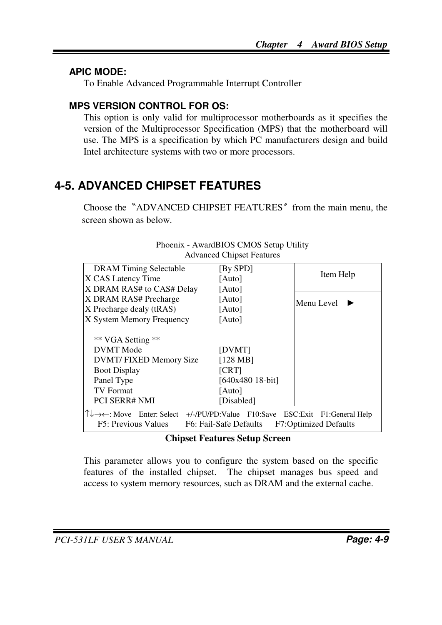#### **APIC MODE:**

To Enable Advanced Programmable Interrupt Controller

#### **MPS VERSION CONTROL FOR OS:**

This option is only valid for multiprocessor motherboards as it specifies the version of the Multiprocessor Specification (MPS) that the motherboard will use. The MPS is a specification by which PC manufacturers design and build Intel architecture systems with two or more processors.

## **4-5. ADVANCED CHIPSET FEATURES**

Choose the〝ADVANCED CHIPSET FEATURES〞from the main menu, the screen shown as below.

| <b>DRAM</b> Timing Selectable                                                                                         | [By SPD]               |                              |
|-----------------------------------------------------------------------------------------------------------------------|------------------------|------------------------------|
| X CAS Latency Time                                                                                                    | [Auto]                 | Item Help                    |
| X DRAM RAS# to CAS# Delay                                                                                             | [Auto]                 |                              |
| X DRAM RAS# Precharge                                                                                                 | [Auto]                 | Menu Level                   |
| X Precharge dealy (tRAS)                                                                                              | [Auto]                 |                              |
| X System Memory Frequency                                                                                             | [Auto]                 |                              |
|                                                                                                                       |                        |                              |
| ** VGA Setting **                                                                                                     |                        |                              |
| DVMT Mode                                                                                                             | [DVMT]                 |                              |
| DVMT/ FIXED Memory Size                                                                                               | $[128 \text{ MB}]$     |                              |
| <b>Boot Display</b>                                                                                                   | [CRT]                  |                              |
| Panel Type                                                                                                            | [640x480 18-bit]       |                              |
| <b>TV Format</b>                                                                                                      | [Auto]                 |                              |
| <b>PCI SERR# NMI</b>                                                                                                  | [Disabled]             |                              |
| $\uparrow \downarrow \rightarrow \leftarrow$ : Move Enter: Select +/-/PU/PD:Value F10:Save ESC: Exit F1: General Help |                        |                              |
| F5: Previous Values                                                                                                   | F6: Fail-Safe Defaults | <b>F7:Optimized Defaults</b> |

#### Phoenix - AwardBIOS CMOS Setup Utility Advanced Chipset Features

#### **Chipset Features Setup Screen**

This parameter allows you to configure the system based on the specific features of the installed chipset. The chipset manages bus speed and access to system memory resources, such as DRAM and the external cache.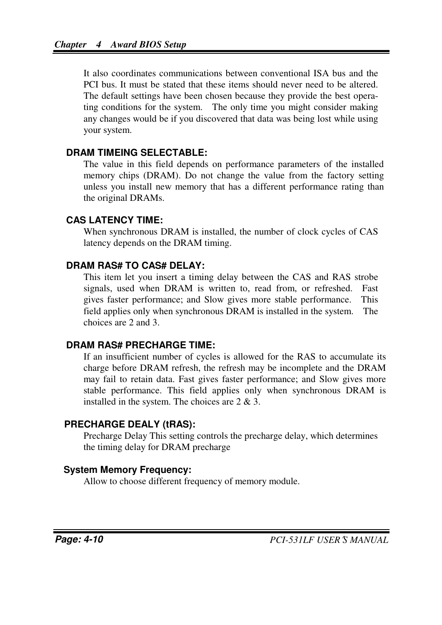It also coordinates communications between conventional ISA bus and the PCI bus. It must be stated that these items should never need to be altered. The default settings have been chosen because they provide the best operating conditions for the system. The only time you might consider making any changes would be if you discovered that data was being lost while using your system.

#### **DRAM TIMEING SELECTABLE:**

The value in this field depends on performance parameters of the installed memory chips (DRAM). Do not change the value from the factory setting unless you install new memory that has a different performance rating than the original DRAMs.

#### **CAS LATENCY TIME:**

When synchronous DRAM is installed, the number of clock cycles of CAS latency depends on the DRAM timing.

#### **DRAM RAS# TO CAS# DELAY:**

This item let you insert a timing delay between the CAS and RAS strobe signals, used when DRAM is written to, read from, or refreshed. Fast gives faster performance; and Slow gives more stable performance. This field applies only when synchronous DRAM is installed in the system. The choices are 2 and 3.

#### **DRAM RAS# PRECHARGE TIME:**

If an insufficient number of cycles is allowed for the RAS to accumulate its charge before DRAM refresh, the refresh may be incomplete and the DRAM may fail to retain data. Fast gives faster performance; and Slow gives more stable performance. This field applies only when synchronous DRAM is installed in the system. The choices are 2 & 3.

#### **PRECHARGE DEALY (tRAS):**

Precharge Delay This setting controls the precharge delay, which determines the timing delay for DRAM precharge

#### **System Memory Frequency:**

Allow to choose different frequency of memory module.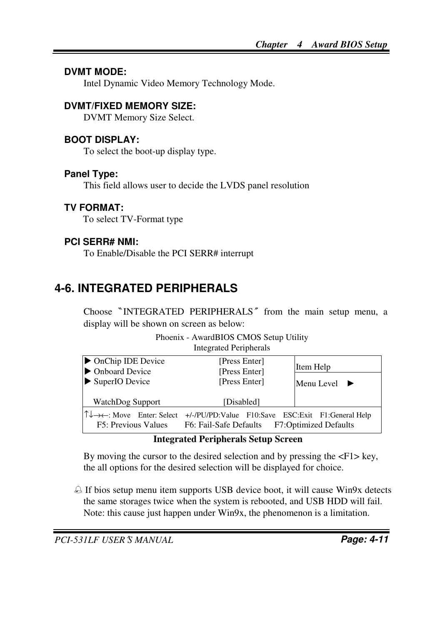#### **DVMT MODE:**

Intel Dynamic Video Memory Technology Mode.

#### **DVMT/FIXED MEMORY SIZE:**

DVMT Memory Size Select.

#### **BOOT DISPLAY:**

To select the boot-up display type.

#### **Panel Type:**

This field allows user to decide the LVDS panel resolution

#### **TV FORMAT:**

To select TV-Format type

#### **PCI SERR# NMI:**

To Enable/Disable the PCI SERR# interrupt

## **4-6. INTEGRATED PERIPHERALS**

Choose〝INTEGRATED PERIPHERALS〞from the main setup menu, a display will be shown on screen as below:

| Phoenix - AwardBIOS CMOS Setup Utility |
|----------------------------------------|
| Integrated Peripherals                 |

| • OnChip IDE Device<br>• Onboard Device<br>SuperIO Device | [Press Enter]<br>[Press Enter]<br>[Press Enter]                                                      | Item Help<br>Menu Level $\blacktriangleright$ |
|-----------------------------------------------------------|------------------------------------------------------------------------------------------------------|-----------------------------------------------|
| WatchDog Support                                          | [Disabled]                                                                                           |                                               |
| F5: Previous Values                                       | ↑↓→←: Move Enter: Select +/-/PU/PD:Value F10:Save ESC:Exit F1:General Help<br>F6: Fail-Safe Defaults | <b>F7:Optimized Defaults</b>                  |

#### **Integrated Peripherals Setup Screen**

By moving the cursor to the desired selection and by pressing the  $\langle F1 \rangle$  key, the all options for the desired selection will be displayed for choice.

 $\triangle$  If bios setup menu item supports USB device boot, it will cause Win9x detects the same storages twice when the system is rebooted, and USB HDD will fail. Note: this cause just happen under Win9x, the phenomenon is a limitation.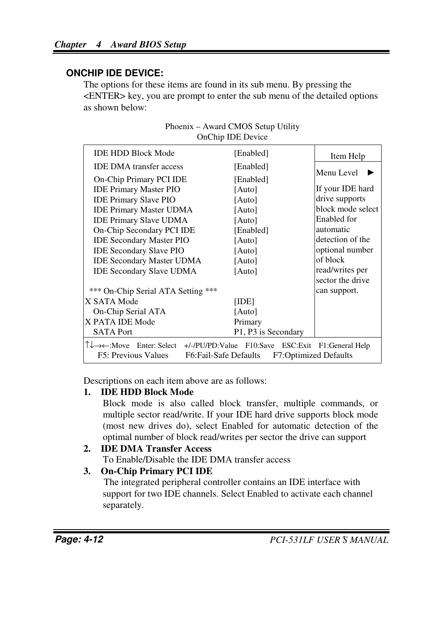#### **ONCHIP IDE DEVICE:**

The options for these items are found in its sub menu. By pressing the <ENTER> key, you are prompt to enter the sub menu of the detailed options as shown below:

|                                                                                                                                                                    | oncine idd deviet                            |                   |
|--------------------------------------------------------------------------------------------------------------------------------------------------------------------|----------------------------------------------|-------------------|
| <b>IDE HDD Block Mode</b>                                                                                                                                          | [Enabled]                                    | Item Help         |
| <b>IDE DMA</b> transfer access                                                                                                                                     | [Enabled]                                    | Menu Level        |
| On-Chip Primary PCI IDE                                                                                                                                            | [Enabled]                                    |                   |
| <b>IDE Primary Master PIO</b>                                                                                                                                      | [Auto]                                       | If your IDE hard  |
| <b>IDE Primary Slave PIO</b>                                                                                                                                       | [Auto]                                       | drive supports    |
| <b>IDE Primary Master UDMA</b>                                                                                                                                     | [Auto]                                       | block mode select |
| <b>IDE Primary Slave UDMA</b>                                                                                                                                      | [Auto]                                       | Enabled for       |
| On-Chip Secondary PCI IDE                                                                                                                                          | [Enabled]                                    | automatic         |
| <b>IDE Secondary Master PIO</b>                                                                                                                                    | [Auto]                                       | detection of the  |
| <b>IDE Secondary Slave PIO</b>                                                                                                                                     | [Auto]                                       | optional number   |
| <b>IDE Secondary Master UDMA</b>                                                                                                                                   | [Auto]                                       | of block          |
| <b>IDE Secondary Slave UDMA</b>                                                                                                                                    | [Auto]                                       | read/writes per   |
|                                                                                                                                                                    |                                              | sector the drive  |
| *** On-Chip Serial ATA Setting ***                                                                                                                                 |                                              | can support.      |
| X SATA Mode                                                                                                                                                        | [IDE]                                        |                   |
| On-Chip Serial ATA                                                                                                                                                 | [Auto]                                       |                   |
| X PATA IDE Mode                                                                                                                                                    | Primary                                      |                   |
| <b>SATA Port</b>                                                                                                                                                   | P <sub>1</sub> , P <sub>3</sub> is Secondary |                   |
| $\uparrow \downarrow \rightarrow \leftarrow$ :Move Enter: Select +/-/PU/PD:Value F10:Save ESC:Exit F1:General Help<br>F5: Previous Values<br>F6:Fail-Safe Defaults | F7:Optimized Defaults                        |                   |

Phoenix – Award CMOS Setup Utility OnChip IDE Device

Descriptions on each item above are as follows:

#### **1. IDE HDD Block Mode**

Block mode is also called block transfer, multiple commands, or multiple sector read/write. If your IDE hard drive supports block mode (most new drives do), select Enabled for automatic detection of the optimal number of block read/writes per sector the drive can support

#### **2. IDE DMA Transfer Access**

To Enable/Disable the IDE DMA transfer access

#### **3. On-Chip Primary PCI IDE**

The integrated peripheral controller contains an IDE interface with support for two IDE channels. Select Enabled to activate each channel separately.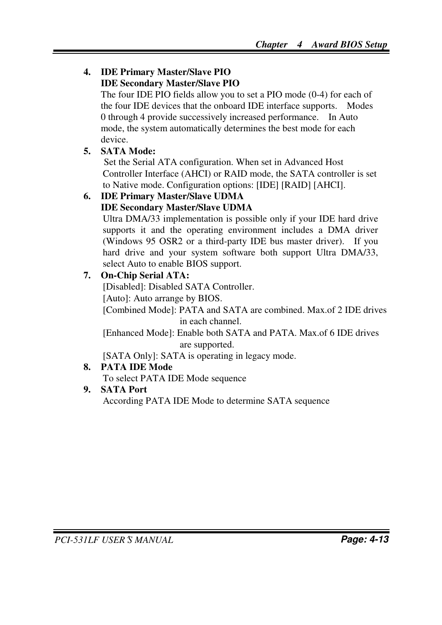#### **4. IDE Primary Master/Slave PIO IDE Secondary Master/Slave PIO**

The four IDE PIO fields allow you to set a PIO mode (0-4) for each of the four IDE devices that the onboard IDE interface supports. Modes 0 through 4 provide successively increased performance. In Auto mode, the system automatically determines the best mode for each device.

### **5. SATA Mode:**

Set the Serial ATA configuration. When set in Advanced Host Controller Interface (AHCI) or RAID mode, the SATA controller is set to Native mode. Configuration options: [IDE] [RAID] [AHCI].

### **6. IDE Primary Master/Slave UDMA**

#### **IDE Secondary Master/Slave UDMA**

Ultra DMA/33 implementation is possible only if your IDE hard drive supports it and the operating environment includes a DMA driver (Windows 95 OSR2 or a third-party IDE bus master driver). If you hard drive and your system software both support Ultra DMA/33, select Auto to enable BIOS support.

### **7. On-Chip Serial ATA:**

[Disabled]: Disabled SATA Controller. [Auto]: Auto arrange by BIOS.

[Combined Mode]: PATA and SATA are combined. Max.of 2 IDE drives in each channel.

[Enhanced Mode]: Enable both SATA and PATA. Max.of 6 IDE drives are supported.

[SATA Only]: SATA is operating in legacy mode.

### **8. PATA IDE Mode**

To select PATA IDE Mode sequence

### **9. SATA Port**

According PATA IDE Mode to determine SATA sequence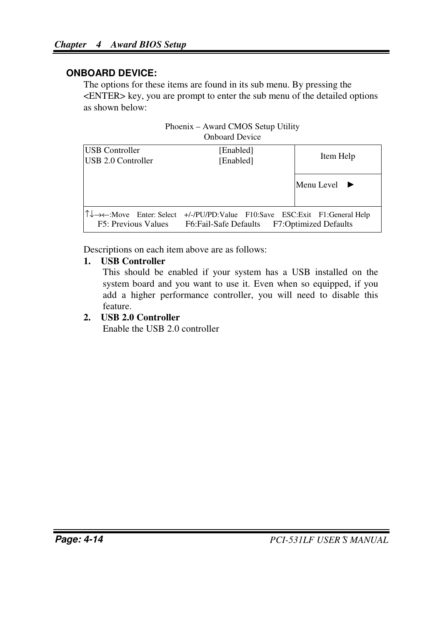#### **ONBOARD DEVICE:**

The options for these items are found in its sub menu. By pressing the <ENTER> key, you are prompt to enter the sub menu of the detailed options as shown below:

|                                                                                         | $\Gamma$ hoem $\Lambda$ – Award CiviOS Setup Othry<br><b>Onboard Device</b> |                                  |
|-----------------------------------------------------------------------------------------|-----------------------------------------------------------------------------|----------------------------------|
| <b>USB Controller</b><br>USB 2.0 Controller                                             | [Enabled]<br>[Enabled]                                                      | Item Help                        |
|                                                                                         |                                                                             | Menu Level $\blacktriangleright$ |
| $\uparrow \downarrow \rightarrow \leftarrow$ :Move Enter: Select<br>F5: Previous Values | +/-/PU/PD:Value F10:Save ESC:Exit F1:General Help<br>F6: Fail-Safe Defaults | <b>F7:Optimized Defaults</b>     |

Phoenix – Award CMOS Setup Utility

Descriptions on each item above are as follows:

#### **1. USB Controller**

This should be enabled if your system has a USB installed on the system board and you want to use it. Even when so equipped, if you add a higher performance controller, you will need to disable this feature.

#### **2. USB 2.0 Controller**

Enable the USB 2.0 controller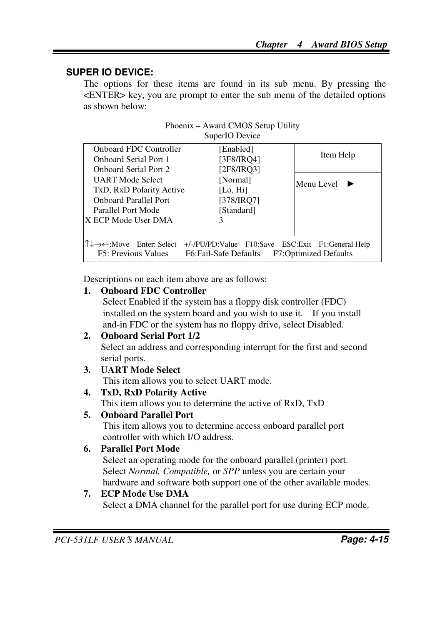#### **SUPER IO DEVICE:**

The options for these items are found in its sub menu. By pressing the <ENTER> key, you are prompt to enter the sub menu of the detailed options as shown below:

| Phoenix – Award CMOS Setup Utility |  |
|------------------------------------|--|
| SuperIO Device                     |  |

| <b>Onboard FDC Controller</b><br><b>Onboard Serial Port 1</b>                                                                                                                                   | [Enabled]<br>[3F8/IRO4] | Item Help  |
|-------------------------------------------------------------------------------------------------------------------------------------------------------------------------------------------------|-------------------------|------------|
| <b>Onboard Serial Port 2</b>                                                                                                                                                                    | [2F8/IRO3]              |            |
| UART Mode Select                                                                                                                                                                                | [Normal]                | Menu Level |
| TxD, RxD Polarity Active                                                                                                                                                                        | [Lo, $Hi$ ]             |            |
| <b>Onboard Parallel Port</b>                                                                                                                                                                    | [378/IRQ7]              |            |
| Parallel Port Mode                                                                                                                                                                              | [Standard]              |            |
| IX ECP Mode User DMA                                                                                                                                                                            | 3                       |            |
|                                                                                                                                                                                                 |                         |            |
| $\uparrow \downarrow \rightarrow \leftarrow$ :Move Enter: Select<br>+/-/PU/PD:Value F10:Save ESC:Exit F1:General Help<br>F7:Optimized Defaults<br>F5: Previous Values<br>F6: Fail-Safe Defaults |                         |            |

Descriptions on each item above are as follows:

#### **1. Onboard FDC Controller**

Select Enabled if the system has a floppy disk controller (FDC) installed on the system board and you wish to use it. If you install and-in FDC or the system has no floppy drive, select Disabled.

#### **2. Onboard Serial Port 1/2**

Select an address and corresponding interrupt for the first and second serial ports.

- **3. UART Mode Select**  This item allows you to select UART mode.
- **4. TxD, RxD Polarity Active**

This item allows you to determine the active of RxD, TxD

#### **5. Onboard Parallel Port**

This item allows you to determine access onboard parallel port controller with which I/O address.

#### **6. Parallel Port Mode**

Select an operating mode for the onboard parallel (printer) port. Select *Normal, Compatible,* or *SPP* unless you are certain your hardware and software both support one of the other available modes.

#### **7. ECP Mode Use DMA**

Select a DMA channel for the parallel port for use during ECP mode.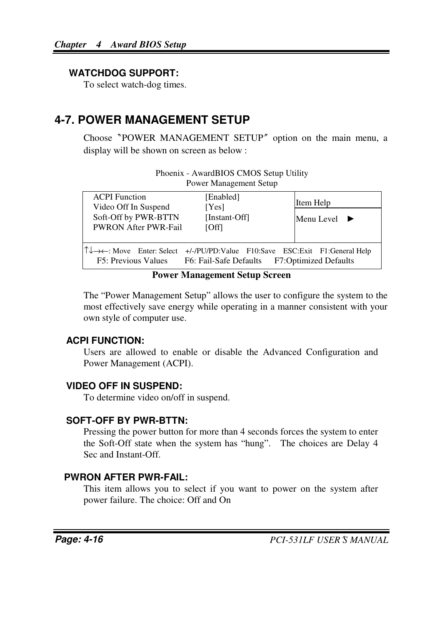#### **WATCHDOG SUPPORT:**

To select watch-dog times.

## **4-7. POWER MANAGEMENT SETUP**

Choose〝POWER MANAGEMENT SETUP〞option on the main menu, a display will be shown on screen as below :

| Phoenix - AwardBIOS CMOS Setup Utility |  |
|----------------------------------------|--|
| Power Management Setup                 |  |
|                                        |  |

| <b>ACPI</b> Function<br>Video Off In Suspend        | [Enabled]<br>[Yes]                                                                                                         | Item Help                        |
|-----------------------------------------------------|----------------------------------------------------------------------------------------------------------------------------|----------------------------------|
| Soft-Off by PWR-BTTN<br><b>PWRON After PWR-Fail</b> | [Instant-Off]<br><b>TOffl</b>                                                                                              | Menu Level $\blacktriangleright$ |
| F5: Previous Values                                 | ↑↓→←: Move Enter: Select +/-/PU/PD:Value F10:Save ESC:Exit F1:General Help<br>F6: Fail-Safe Defaults F7:Optimized Defaults |                                  |

#### **Power Management Setup Screen**

The "Power Management Setup" allows the user to configure the system to the most effectively save energy while operating in a manner consistent with your own style of computer use.

#### **ACPI FUNCTION:**

Users are allowed to enable or disable the Advanced Configuration and Power Management (ACPI).

#### **VIDEO OFF IN SUSPEND:**

To determine video on/off in suspend.

#### **SOFT-OFF BY PWR-BTTN:**

Pressing the power button for more than 4 seconds forces the system to enter the Soft-Off state when the system has "hung". The choices are Delay 4 Sec and Instant-Off.

### **PWRON AFTER PWR-FAIL:**

This item allows you to select if you want to power on the system after power failure. The choice: Off and On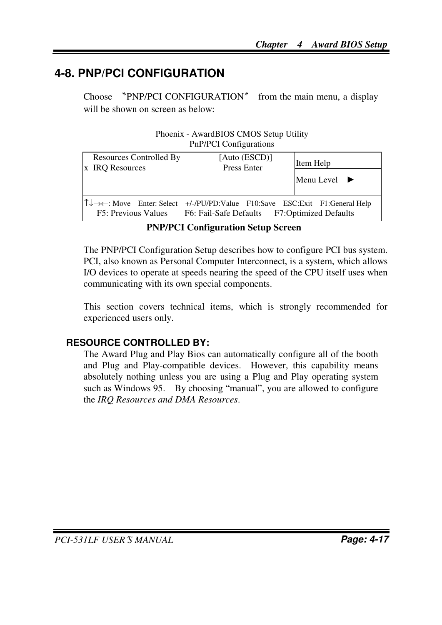## **4-8. PNP/PCI CONFIGURATION**

Choose 〝PNP/PCI CONFIGURATION〞 from the main menu, a display will be shown on screen as below:

|                                            | Thoems - TwardDIOD CMOD Detap Culty<br><b>PnP/PCI Configurations</b>                                                       |                                  |
|--------------------------------------------|----------------------------------------------------------------------------------------------------------------------------|----------------------------------|
| Resources Controlled By<br>x IRO Resources | [Auto (ESCD)]<br>Press Enter                                                                                               | Item Help                        |
|                                            |                                                                                                                            | Menu Level $\blacktriangleright$ |
| F5: Previous Values                        | ↑↓→←: Move Enter: Select +/-/PU/PD:Value F10:Save ESC:Exit F1:General Help<br>F6: Fail-Safe Defaults F7:Optimized Defaults |                                  |

| Phoenix - AwardBIOS CMOS Setup Utility |  |
|----------------------------------------|--|
| <b>PnP/PCI Configurations</b>          |  |

**PNP/PCI Configuration Setup Screen** 

The PNP/PCI Configuration Setup describes how to configure PCI bus system. PCI, also known as Personal Computer Interconnect, is a system, which allows I/O devices to operate at speeds nearing the speed of the CPU itself uses when communicating with its own special components.

This section covers technical items, which is strongly recommended for experienced users only.

### **RESOURCE CONTROLLED BY:**

The Award Plug and Play Bios can automatically configure all of the booth and Plug and Play-compatible devices. However, this capability means absolutely nothing unless you are using a Plug and Play operating system such as Windows 95. By choosing "manual", you are allowed to configure the *IRQ Resources and DMA Resources*.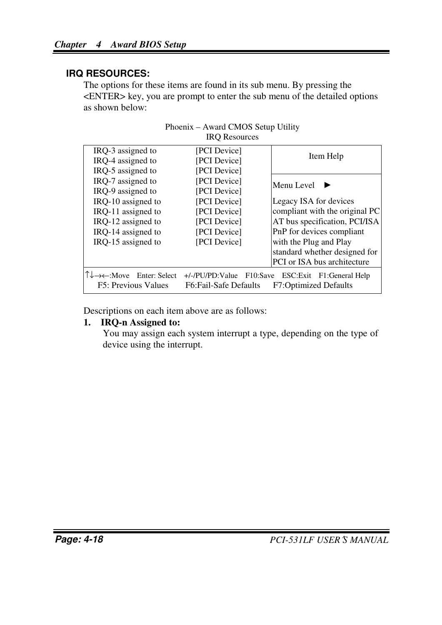#### **IRQ RESOURCES:**

The options for these items are found in its sub menu. By pressing the <ENTER> key, you are prompt to enter the sub menu of the detailed options as shown below:

|                                                   | mo resources                                            |                                                            |  |
|---------------------------------------------------|---------------------------------------------------------|------------------------------------------------------------|--|
| IRO-3 assigned to                                 | [PCI Device]                                            |                                                            |  |
| IRO-4 assigned to                                 | [PCI Device]                                            | Item Help                                                  |  |
| IRQ-5 assigned to                                 | [PCI Device]                                            |                                                            |  |
| IRO-7 assigned to                                 | [PCI Device]                                            | Menu Level                                                 |  |
| IRQ-9 assigned to                                 | [PCI Device]                                            |                                                            |  |
| IRO-10 assigned to                                | [PCI Device]                                            | Legacy ISA for devices                                     |  |
| IRQ-11 assigned to                                | [PCI Device]                                            | compliant with the original PC                             |  |
| IRO-12 assigned to                                | [PCI Device]                                            | AT bus specification, PCI/ISA                              |  |
| IRO-14 assigned to                                | [PCI Device]                                            | PnP for devices compliant                                  |  |
| IRO-15 assigned to                                | [PCI Device]                                            | with the Plug and Play                                     |  |
|                                                   |                                                         | standard whether designed for                              |  |
|                                                   |                                                         | PCI or ISA bus architecture                                |  |
| T↓→←:Move<br>Enter: Select<br>F5: Previous Values | $+/-/PU/PD:Value$<br>F10:Save<br>F6: Fail-Safe Defaults | ESC: Exit F1: General Help<br><b>F7:Optimized Defaults</b> |  |
|                                                   |                                                         |                                                            |  |

| Phoenix – Award CMOS Setup Utility |  |
|------------------------------------|--|
| <b>IRO</b> Resources               |  |

Descriptions on each item above are as follows:

#### **1. IRQ-n Assigned to:**

You may assign each system interrupt a type, depending on the type of device using the interrupt.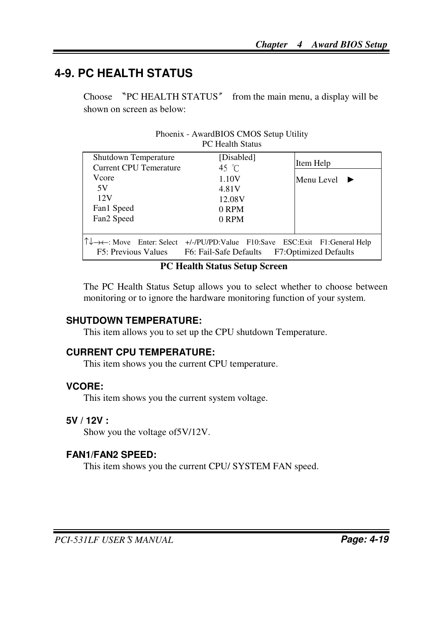## **4-9. PC HEALTH STATUS**

Choose 〝PC HEALTH STATUS〞 from the main menu, a display will be shown on screen as below:

|                                                | 1 C 110anii 9anii                                                                                        |                              |
|------------------------------------------------|----------------------------------------------------------------------------------------------------------|------------------------------|
| Shutdown Temperature<br>Current CPU Temerature | [Disabled]<br>45 °C                                                                                      | Item Help                    |
| Vcore                                          | 1.10V                                                                                                    | Menu Level                   |
| 5V                                             | 4.81V                                                                                                    |                              |
| 12V                                            | 12.08V                                                                                                   |                              |
| Fan1 Speed                                     | 0 RPM                                                                                                    |                              |
| Fan <sub>2</sub> Speed                         | 0 RPM                                                                                                    |                              |
|                                                |                                                                                                          |                              |
| F5: Previous Values                            | ↑↓→←: Move Enter: Select +/-/PU/PD: Value F10: Save ESC: Exit F1: General Help<br>F6: Fail-Safe Defaults | <b>F7:Optimized Defaults</b> |

| Phoenix - AwardBIOS CMOS Setup Utility |  |
|----------------------------------------|--|
| <b>PC</b> Health Status                |  |

#### **PC Health Status Setup Screen**

The PC Health Status Setup allows you to select whether to choose between monitoring or to ignore the hardware monitoring function of your system.

#### **SHUTDOWN TEMPERATURE:**

This item allows you to set up the CPU shutdown Temperature.

#### **CURRENT CPU TEMPERATURE:**

This item shows you the current CPU temperature.

#### **VCORE:**

This item shows you the current system voltage.

#### **5V / 12V :**

Show you the voltage of5V/12V.

#### **FAN1/FAN2 SPEED:**

This item shows you the current CPU/ SYSTEM FAN speed.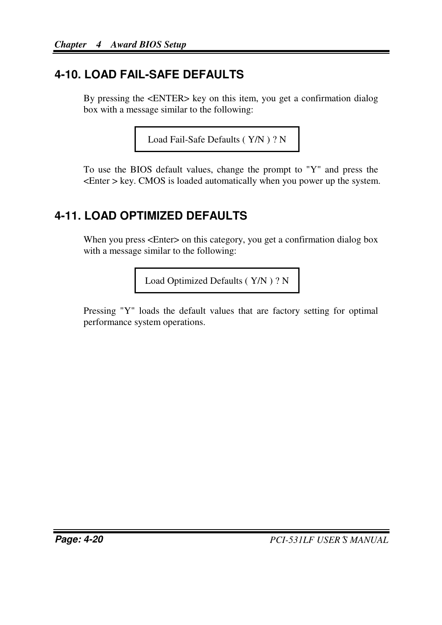# **4-10. LOAD FAIL-SAFE DEFAULTS**

By pressing the <ENTER> key on this item, you get a confirmation dialog box with a message similar to the following:

```
Load Fail-Safe Defaults ( Y/N ) ? N
```
To use the BIOS default values, change the prompt to "Y" and press the <Enter > key. CMOS is loaded automatically when you power up the system.

## **4-11. LOAD OPTIMIZED DEFAULTS**

When you press <Enter> on this category, you get a confirmation dialog box with a message similar to the following:

Load Optimized Defaults ( Y/N ) ? N

Pressing "Y" loads the default values that are factory setting for optimal performance system operations.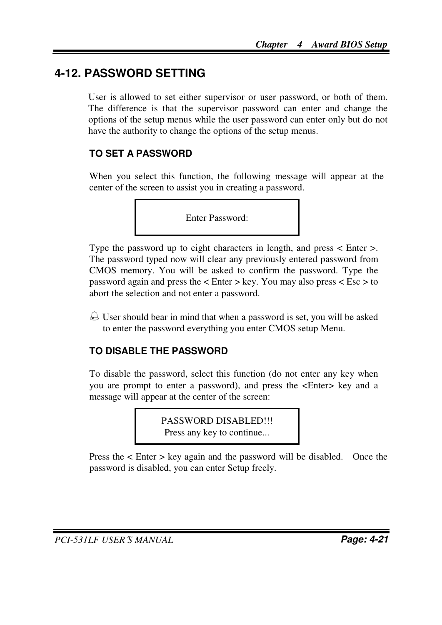## **4-12. PASSWORD SETTING**

User is allowed to set either supervisor or user password, or both of them. The difference is that the supervisor password can enter and change the options of the setup menus while the user password can enter only but do not have the authority to change the options of the setup menus.

#### **TO SET A PASSWORD**

When you select this function, the following message will appear at the center of the screen to assist you in creating a password.

Enter Password:

Type the password up to eight characters in length, and press < Enter >. The password typed now will clear any previously entered password from CMOS memory. You will be asked to confirm the password. Type the password again and press the  $\lt$  Enter  $>$  key. You may also press  $\lt$  Esc  $>$  to abort the selection and not enter a password.

 $\triangle$  User should bear in mind that when a password is set, you will be asked to enter the password everything you enter CMOS setup Menu.

#### **TO DISABLE THE PASSWORD**

To disable the password, select this function (do not enter any key when you are prompt to enter a password), and press the <Enter> key and a message will appear at the center of the screen:

> PASSWORD DISABLED!!! Press any key to continue...

Press the < Enter > key again and the password will be disabled. Once the password is disabled, you can enter Setup freely.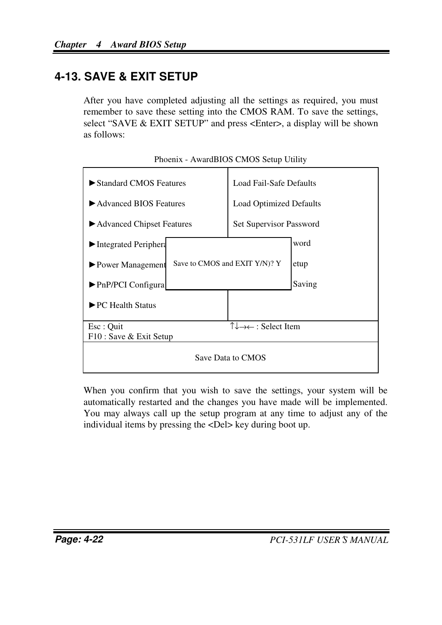## **4-13. SAVE & EXIT SETUP**

After you have completed adjusting all the settings as required, you must remember to save these setting into the CMOS RAM. To save the settings, select "SAVE & EXIT SETUP" and press <Enter>, a display will be shown as follows:

| ► Standard CMOS Features                   | Load Fail-Safe Defaults                                    |        |
|--------------------------------------------|------------------------------------------------------------|--------|
| Advanced BIOS Features                     | <b>Load Optimized Defaults</b>                             |        |
| ► Advanced Chipset Features                | Set Supervisor Password                                    |        |
| $\blacktriangleright$ Integrated Periphera |                                                            | word   |
| $\triangleright$ Power Management          | Save to CMOS and EXIT Y/N)? Y                              | etup   |
| $\blacktriangleright$ PnP/PCI Configura    |                                                            | Saving |
| $\blacktriangleright$ PC Health Status     |                                                            |        |
| Esc: Quit<br>F10 : Save & Exit Setup       | $\uparrow \downarrow \rightarrow \leftarrow$ : Select Item |        |
| Save Data to CMOS                          |                                                            |        |

Phoenix - AwardBIOS CMOS Setup Utility

When you confirm that you wish to save the settings, your system will be automatically restarted and the changes you have made will be implemented. You may always call up the setup program at any time to adjust any of the individual items by pressing the <Del> key during boot up.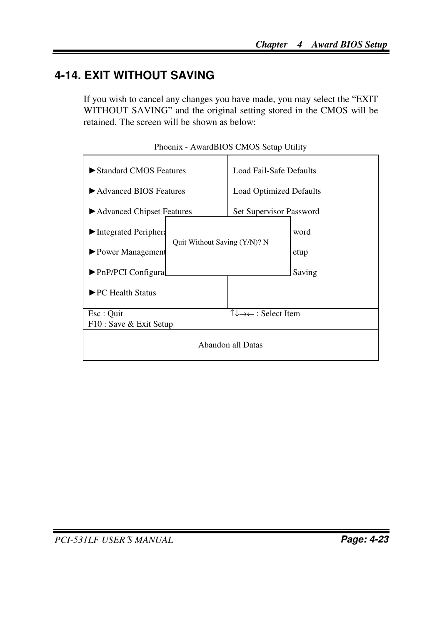# **4-14. EXIT WITHOUT SAVING**

If you wish to cancel any changes you have made, you may select the "EXIT WITHOUT SAVING" and the original setting stored in the CMOS will be retained. The screen will be shown as below:

| Standard CMOS Features                     |                                              | Load Fail-Safe Defaults                                    |        |
|--------------------------------------------|----------------------------------------------|------------------------------------------------------------|--------|
| Advanced BIOS Features                     |                                              | <b>Load Optimized Defaults</b>                             |        |
| Advanced Chipset Features                  |                                              | Set Supervisor Password                                    |        |
| $\blacktriangleright$ Integrated Periphera | word<br>Quit Without Saving (Y/N)? N<br>etup |                                                            |        |
| $\blacktriangleright$ Power Management     |                                              |                                                            |        |
| $\blacktriangleright$ PnP/PCI Configura    |                                              |                                                            | Saving |
| $\blacktriangleright$ PC Health Status     |                                              |                                                            |        |
| Esc : Quit                                 |                                              | $\uparrow \downarrow \rightarrow \leftarrow$ : Select Item |        |
| F10 : Save & Exit Setup                    |                                              |                                                            |        |
| Abandon all Datas                          |                                              |                                                            |        |

Phoenix - AwardBIOS CMOS Setup Utility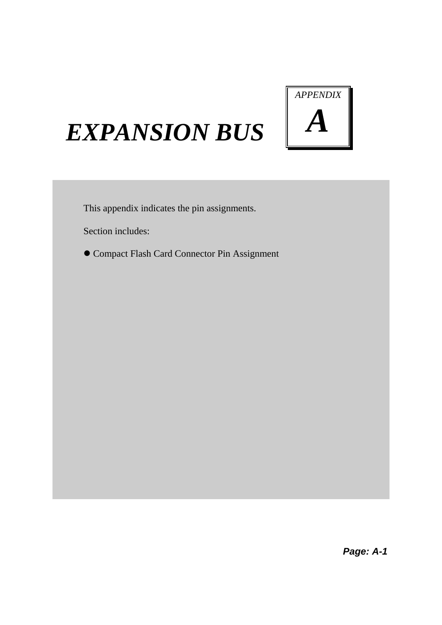

# *EXPANSION BUS*

This appendix indicates the pin assignments.

Section includes:

 $\bullet$  Compact Flash Card Connector Pin Assignment

*Page: A-1*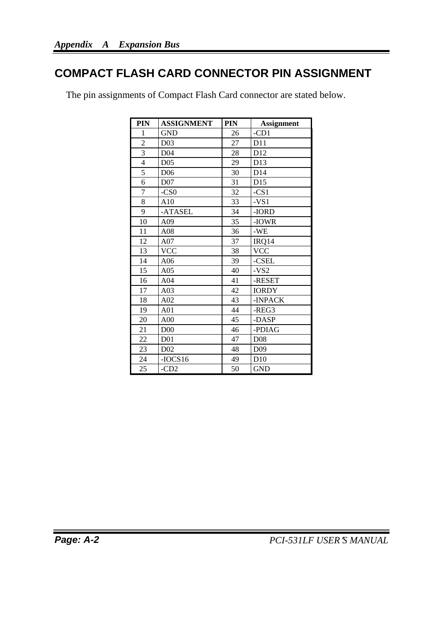## **COMPACT FLASH CARD CONNECTOR PIN ASSIGNMENT**

| <b>PIN</b>     | <b>ASSIGNMENT</b> | <b>PIN</b> | <b>Assignment</b> |
|----------------|-------------------|------------|-------------------|
| 1              | <b>GND</b>        | 26         | $-CD1$            |
| $\overline{c}$ | D <sub>03</sub>   | 27         | D11               |
| 3              | D <sub>04</sub>   | 28         | D12               |
| $\overline{4}$ | D <sub>05</sub>   | 29         | D13               |
| 5              | D <sub>06</sub>   | 30         | D <sub>14</sub>   |
| 6              | D <sub>07</sub>   | 31         | D15               |
| 7              | $-CS0$            | 32         | $-CS1$            |
| 8              | A10               | 33         | $-VS1$            |
| 9              | -ATASEL           | 34         | -IORD             |
| 10             | A09               | 35         | -IOWR             |
| 11             | A08               | 36         | -WE               |
| 12             | A07               | 37         | IRQ14             |
| 13             | <b>VCC</b>        | 38         | <b>VCC</b>        |
| 14             | A06               | 39         | -CSEL             |
| 15             | A05               | 40         | $-VS2$            |
| 16             | A <sub>04</sub>   | 41         | -RESET            |
| 17             | A <sub>03</sub>   | 42         | <b>IORDY</b>      |
| 18             | A02               | 43         | -INPACK           |
| 19             | A01               | 44         | $-REG3$           |
| 20             | A <sub>00</sub>   | 45         | -DASP             |
| 21             | D <sub>00</sub>   | 46         | -PDIAG            |
| 22             | D <sub>01</sub>   | 47         | D <sub>08</sub>   |
| 23             | D <sub>02</sub>   | 48         | D <sub>09</sub>   |
| 24             | $-IOCS16$         | 49         | D10               |
| 25             | $-CD2$            | 50         | <b>GND</b>        |

The pin assignments of Compact Flash Card connector are stated below.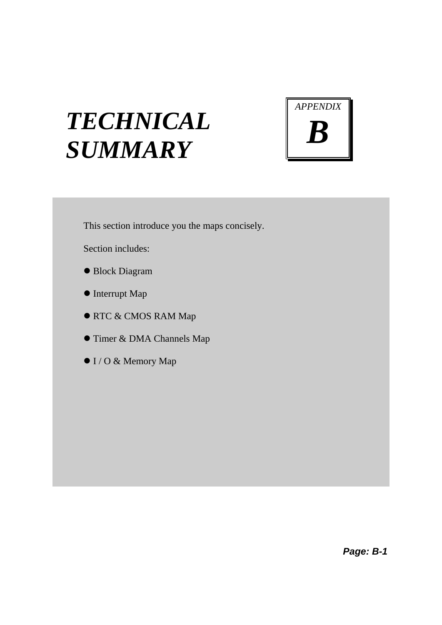# *TECHNICAL SUMMARY*



This section introduce you the maps concisely.

Section includes:

- Block Diagram
- $\bullet$  Interrupt Map
- **RTC & CMOS RAM Map**
- **Timer & DMA Channels Map**
- $\bullet$  I / O & Memory Map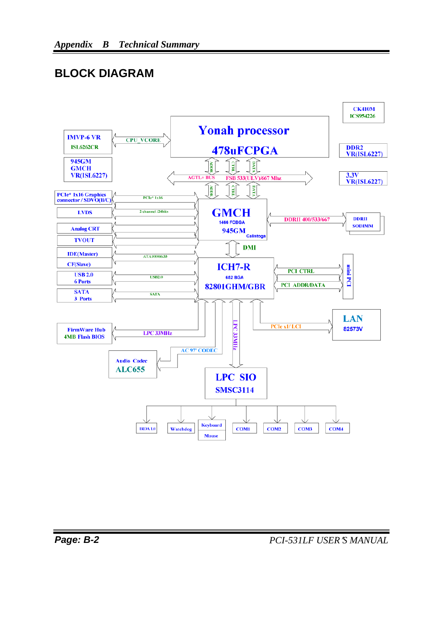## **BLOCK DIAGRAM**

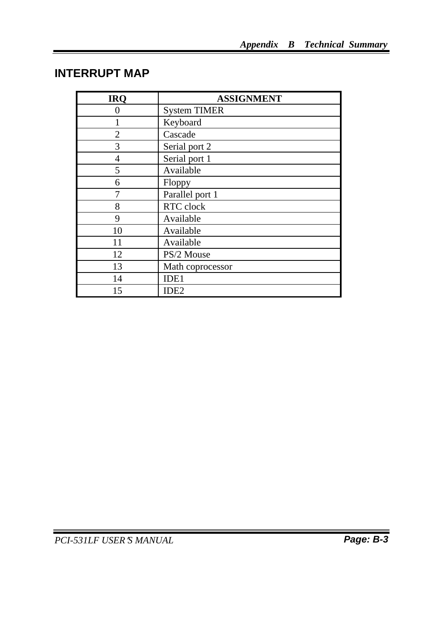## **INTERRUPT MAP**

| <b>IRO</b>     | <b>ASSIGNMENT</b>   |
|----------------|---------------------|
|                | <b>System TIMER</b> |
|                | Keyboard            |
| $\mathfrak{D}$ | Cascade             |
| 3              | Serial port 2       |
| 4              | Serial port 1       |
| 5              | Available           |
| 6              | Floppy              |
|                | Parallel port 1     |
| 8              | RTC clock           |
| 9              | Available           |
| 10             | Available           |
| 11             | Available           |
| 12             | PS/2 Mouse          |
| 13             | Math coprocessor    |
| 14             | IDE1                |
| 15             | IDE <sub>2</sub>    |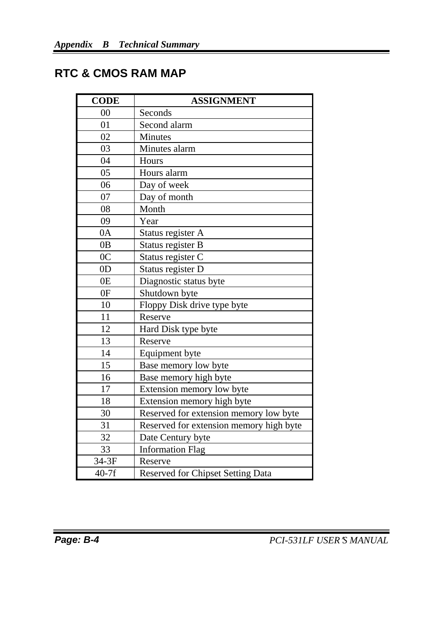# **RTC & CMOS RAM MAP**

| <b>CODE</b>    | <b>ASSIGNMENT</b>                        |
|----------------|------------------------------------------|
| 00             | Seconds                                  |
| 01             | Second alarm                             |
| 02             | Minutes                                  |
| 03             | Minutes alarm                            |
| 04             | Hours                                    |
| 05             | Hours alarm                              |
| 06             | Day of week                              |
| 07             | Day of month                             |
| 08             | Month                                    |
| 09             | Year                                     |
| 0A             | Status register A                        |
| 0B             | Status register B                        |
| 0 <sup>C</sup> | Status register C                        |
| 0 <sub>D</sub> | Status register D                        |
| 0E             | Diagnostic status byte                   |
| 0F             | Shutdown byte                            |
| 10             | Floppy Disk drive type byte              |
| 11             | Reserve                                  |
| 12             | Hard Disk type byte                      |
| 13             | Reserve                                  |
| 14             | Equipment byte                           |
| 15             | Base memory low byte                     |
| 16             | Base memory high byte                    |
| 17             | Extension memory low byte                |
| 18             | Extension memory high byte               |
| 30             | Reserved for extension memory low byte   |
| 31             | Reserved for extension memory high byte  |
| 32             | Date Century byte                        |
| 33             | <b>Information Flag</b>                  |
| 34-3F          | Reserve                                  |
| $40-7f$        | <b>Reserved for Chipset Setting Data</b> |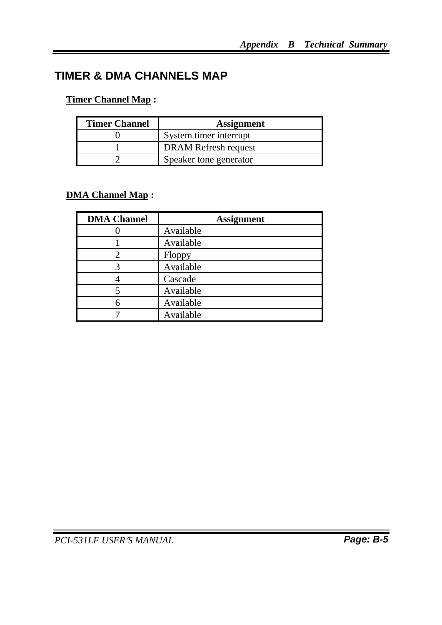# **TIMER & DMA CHANNELS MAP**

#### **Timer Channel Map :**

| <b>Timer Channel</b> | <b>Assignment</b>           |
|----------------------|-----------------------------|
|                      | System timer interrupt      |
|                      | <b>DRAM Refresh request</b> |
|                      | Speaker tone generator      |

#### **DMA Channel Map :**

| <b>DMA Channel</b> | <b>Assignment</b> |
|--------------------|-------------------|
|                    | Available         |
|                    | Available         |
| 2                  | Floppy            |
| 3                  | Available         |
|                    | Cascade           |
|                    | Available         |
|                    | Available         |
|                    | Available         |